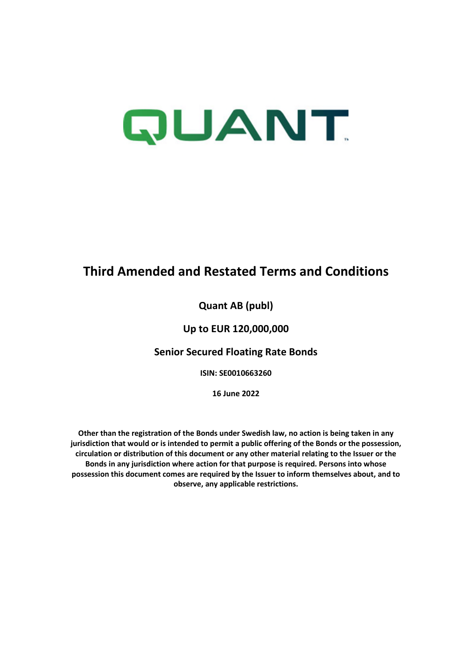# QUANT.

## **Third Amended and Restated Terms and Conditions**

## **Quant AB (publ)**

## **Up to EUR 120,000,000**

## **Senior Secured Floating Rate Bonds**

**ISIN: SE0010663260** 

**16 June 2022** 

**Other than the registration of the Bonds under Swedish law, no action is being taken in any jurisdiction that would or is intended to permit a public offering of the Bonds or the possession, circulation or distribution of this document or any other material relating to the Issuer or the Bonds in any jurisdiction where action for that purpose is required. Persons into whose possession this document comes are required by the Issuer to inform themselves about, and to observe, any applicable restrictions.**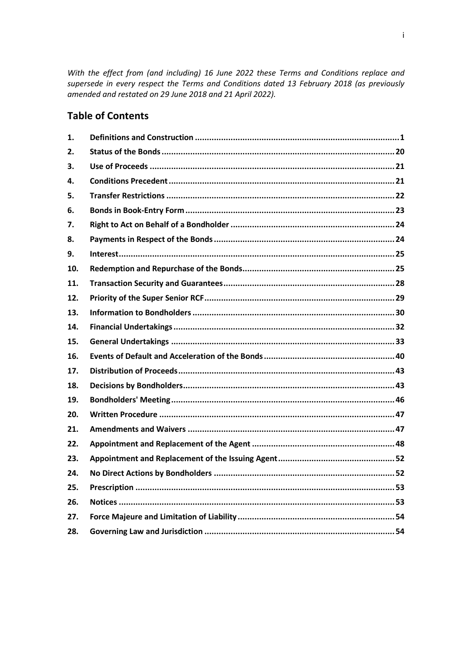With the effect from (and including) 16 June 2022 these Terms and Conditions replace and supersede in every respect the Terms and Conditions dated 13 February 2018 (as previously amended and restated on 29 June 2018 and 21 April 2022).

## **Table of Contents**

| 1.  |  |
|-----|--|
| 2.  |  |
| З.  |  |
| 4.  |  |
| 5.  |  |
| 6.  |  |
| 7.  |  |
| 8.  |  |
| 9.  |  |
| 10. |  |
| 11. |  |
| 12. |  |
| 13. |  |
| 14. |  |
| 15. |  |
| 16. |  |
|     |  |
| 17. |  |
| 18. |  |
| 19. |  |
| 20. |  |
| 21. |  |
| 22. |  |
| 23. |  |
| 24. |  |
| 25. |  |
| 26. |  |
| 27. |  |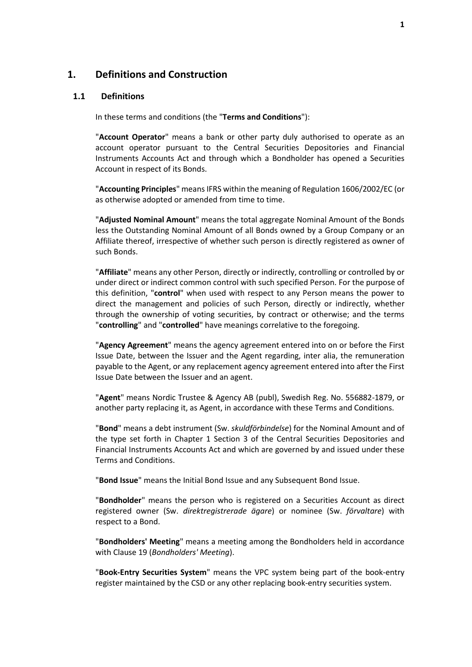#### <span id="page-2-0"></span>**1. Definitions and Construction**

#### **1.1 Definitions**

In these terms and conditions (the "**Terms and Conditions**"):

"**Account Operator**" means a bank or other party duly authorised to operate as an account operator pursuant to the Central Securities Depositories and Financial Instruments Accounts Act and through which a Bondholder has opened a Securities Account in respect of its Bonds.

"**Accounting Principles**" means IFRS within the meaning of Regulation 1606/2002/EC (or as otherwise adopted or amended from time to time.

"**Adjusted Nominal Amount**" means the total aggregate Nominal Amount of the Bonds less the Outstanding Nominal Amount of all Bonds owned by a Group Company or an Affiliate thereof, irrespective of whether such person is directly registered as owner of such Bonds.

"**Affiliate**" means any other Person, directly or indirectly, controlling or controlled by or under direct or indirect common control with such specified Person. For the purpose of this definition, "**control**" when used with respect to any Person means the power to direct the management and policies of such Person, directly or indirectly, whether through the ownership of voting securities, by contract or otherwise; and the terms "**controlling**" and "**controlled**" have meanings correlative to the foregoing.

"**Agency Agreement**" means the agency agreement entered into on or before the First Issue Date, between the Issuer and the Agent regarding, inter alia, the remuneration payable to the Agent, or any replacement agency agreement entered into after the First Issue Date between the Issuer and an agent.

"**Agent**" means Nordic Trustee & Agency AB (publ), Swedish Reg. No. 556882-1879, or another party replacing it, as Agent, in accordance with these Terms and Conditions.

"**Bond**" means a debt instrument (Sw. *skuldförbindelse*) for the Nominal Amount and of the type set forth in Chapter 1 Section 3 of the Central Securities Depositories and Financial Instruments Accounts Act and which are governed by and issued under these Terms and Conditions.

"**Bond Issue**" means the Initial Bond Issue and any Subsequent Bond Issue.

"**Bondholder**" means the person who is registered on a Securities Account as direct registered owner (Sw. *direktregistrerade ägare*) or nominee (Sw. *förvaltare*) with respect to a Bond.

"**Bondholders' Meeting**" means a meeting among the Bondholders held in accordance with Claus[e 19](#page-47-0) (*[Bondholders' Meeting](#page-47-0)*).

"**Book-Entry Securities System**" means the VPC system being part of the book-entry register maintained by the CSD or any other replacing book-entry securities system.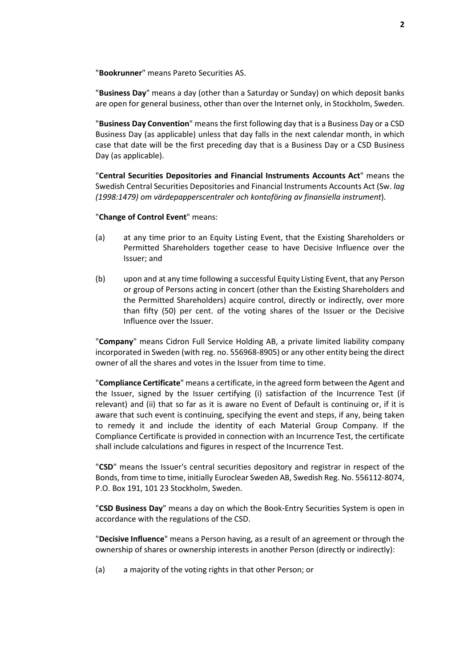"**Bookrunner**" means Pareto Securities AS.

"**Business Day**" means a day (other than a Saturday or Sunday) on which deposit banks are open for general business, other than over the Internet only, in Stockholm, Sweden.

"**Business Day Convention**" means the first following day that is a Business Day or a CSD Business Day (as applicable) unless that day falls in the next calendar month, in which case that date will be the first preceding day that is a Business Day or a CSD Business Day (as applicable).

"**Central Securities Depositories and Financial Instruments Accounts Act**" means the Swedish Central Securities Depositories and Financial Instruments Accounts Act (Sw. *lag (1998:1479) om värdepapperscentraler och kontoföring av finansiella instrument*).

"**Change of Control Event**" means:

- (a) at any time prior to an Equity Listing Event, that the Existing Shareholders or Permitted Shareholders together cease to have Decisive Influence over the Issuer; and
- (b) upon and at any time following a successful Equity Listing Event, that any Person or group of Persons acting in concert (other than the Existing Shareholders and the Permitted Shareholders) acquire control, directly or indirectly, over more than fifty (50) per cent. of the voting shares of the Issuer or the Decisive Influence over the Issuer.

"**Company**" means Cidron Full Service Holding AB, a private limited liability company incorporated in Sweden (with reg. no. 556968-8905) or any other entity being the direct owner of all the shares and votes in the Issuer from time to time.

"**Compliance Certificate**" means a certificate, in the agreed form between the Agent and the Issuer, signed by the Issuer certifying (i) satisfaction of the Incurrence Test (if relevant) and (ii) that so far as it is aware no Event of Default is continuing or, if it is aware that such event is continuing, specifying the event and steps, if any, being taken to remedy it and include the identity of each Material Group Company. If the Compliance Certificate is provided in connection with an Incurrence Test, the certificate shall include calculations and figures in respect of the Incurrence Test.

"**CSD**" means the Issuer's central securities depository and registrar in respect of the Bonds, from time to time, initially Euroclear Sweden AB, Swedish Reg. No. 556112-8074, P.O. Box 191, 101 23 Stockholm, Sweden.

"**CSD Business Day**" means a day on which the Book-Entry Securities System is open in accordance with the regulations of the CSD.

"**Decisive Influence**" means a Person having, as a result of an agreement or through the ownership of shares or ownership interests in another Person (directly or indirectly):

(a) a majority of the voting rights in that other Person; or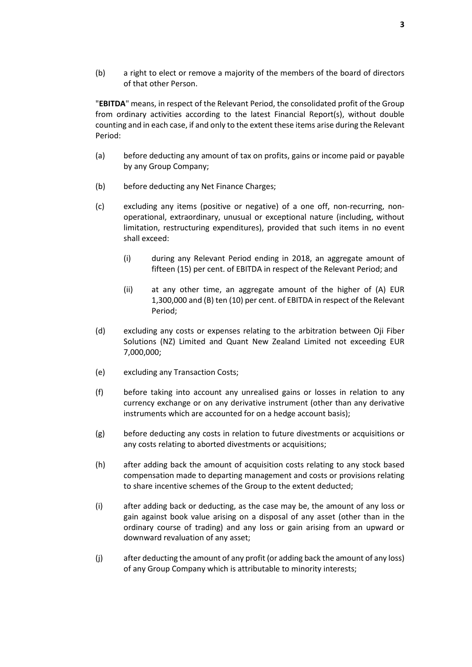(b) a right to elect or remove a majority of the members of the board of directors of that other Person.

"**EBITDA**" means, in respect of the Relevant Period, the consolidated profit of the Group from ordinary activities according to the latest Financial Report(s), without double counting and in each case, if and only to the extent these items arise during the Relevant Period:

- (a) before deducting any amount of tax on profits, gains or income paid or payable by any Group Company;
- (b) before deducting any Net Finance Charges;
- (c) excluding any items (positive or negative) of a one off, non-recurring, nonoperational, extraordinary, unusual or exceptional nature (including, without limitation, restructuring expenditures), provided that such items in no event shall exceed:
	- (i) during any Relevant Period ending in 2018, an aggregate amount of fifteen (15) per cent. of EBITDA in respect of the Relevant Period; and
	- (ii) at any other time, an aggregate amount of the higher of (A) EUR 1,300,000 and (B) ten (10) per cent. of EBITDA in respect of the Relevant Period;
- (d) excluding any costs or expenses relating to the arbitration between Oji Fiber Solutions (NZ) Limited and Quant New Zealand Limited not exceeding EUR 7,000,000;
- (e) excluding any Transaction Costs;
- (f) before taking into account any unrealised gains or losses in relation to any currency exchange or on any derivative instrument (other than any derivative instruments which are accounted for on a hedge account basis);
- (g) before deducting any costs in relation to future divestments or acquisitions or any costs relating to aborted divestments or acquisitions;
- (h) after adding back the amount of acquisition costs relating to any stock based compensation made to departing management and costs or provisions relating to share incentive schemes of the Group to the extent deducted;
- (i) after adding back or deducting, as the case may be, the amount of any loss or gain against book value arising on a disposal of any asset (other than in the ordinary course of trading) and any loss or gain arising from an upward or downward revaluation of any asset;
- (j) after deducting the amount of any profit (or adding back the amount of any loss) of any Group Company which is attributable to minority interests;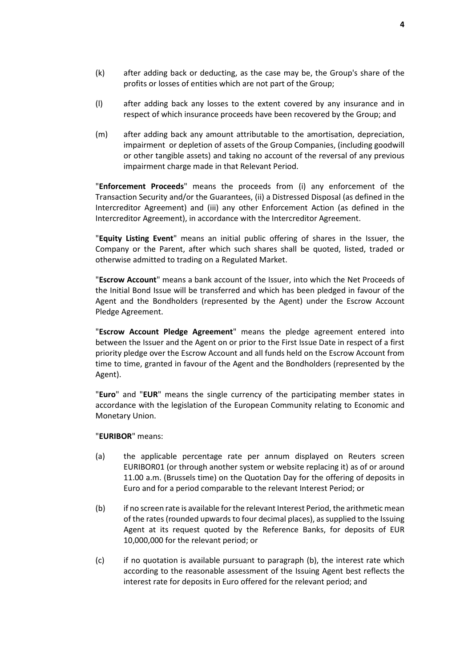- (k) after adding back or deducting, as the case may be, the Group's share of the profits or losses of entities which are not part of the Group;
- (l) after adding back any losses to the extent covered by any insurance and in respect of which insurance proceeds have been recovered by the Group; and
- (m) after adding back any amount attributable to the amortisation, depreciation, impairment or depletion of assets of the Group Companies, (including goodwill or other tangible assets) and taking no account of the reversal of any previous impairment charge made in that Relevant Period.

"**Enforcement Proceeds**" means the proceeds from (i) any enforcement of the Transaction Security and/or the Guarantees, (ii) a Distressed Disposal (as defined in the Intercreditor Agreement) and (iii) any other Enforcement Action (as defined in the Intercreditor Agreement), in accordance with the Intercreditor Agreement.

"**Equity Listing Event**" means an initial public offering of shares in the Issuer, the Company or the Parent, after which such shares shall be quoted, listed, traded or otherwise admitted to trading on a Regulated Market.

"**Escrow Account**" means a bank account of the Issuer, into which the Net Proceeds of the Initial Bond Issue will be transferred and which has been pledged in favour of the Agent and the Bondholders (represented by the Agent) under the Escrow Account Pledge Agreement.

"**Escrow Account Pledge Agreement**" means the pledge agreement entered into between the Issuer and the Agent on or prior to the First Issue Date in respect of a first priority pledge over the Escrow Account and all funds held on the Escrow Account from time to time, granted in favour of the Agent and the Bondholders (represented by the Agent).

"**Euro**" and "**EUR**" means the single currency of the participating member states in accordance with the legislation of the European Community relating to Economic and Monetary Union.

"**EURIBOR**" means:

- (a) the applicable percentage rate per annum displayed on Reuters screen EURIBOR01 (or through another system or website replacing it) as of or around 11.00 a.m. (Brussels time) on the Quotation Day for the offering of deposits in Euro and for a period comparable to the relevant Interest Period; or
- (b) if no screen rate is available for the relevant Interest Period, the arithmetic mean of the rates (rounded upwards to four decimal places), as supplied to the Issuing Agent at its request quoted by the Reference Banks, for deposits of EUR 10,000,000 for the relevant period; or
- (c) if no quotation is available pursuant to paragraph (b), the interest rate which according to the reasonable assessment of the Issuing Agent best reflects the interest rate for deposits in Euro offered for the relevant period; and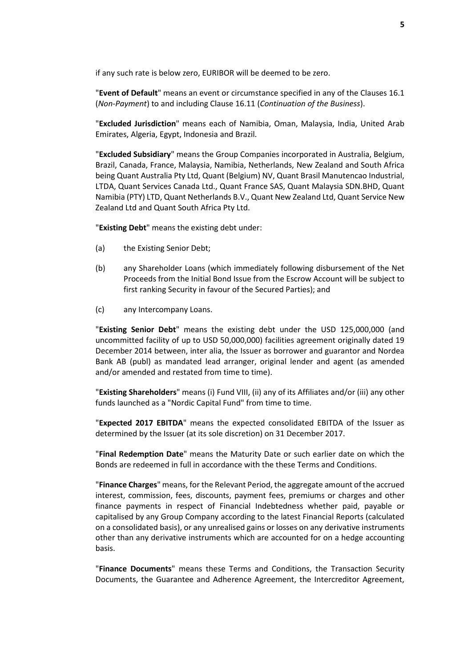if any such rate is below zero, EURIBOR will be deemed to be zero.

"**Event of Default**" means an event or circumstance specified in any of the Clauses [16.1](#page-41-1) (*[Non-Payment](#page-41-1)*) to and including Clause [16.11](#page-43-0) (*[Continuation of the Business](#page-43-0)*).

"**Excluded Jurisdiction**" means each of Namibia, Oman, Malaysia, India, United Arab Emirates, Algeria, Egypt, Indonesia and Brazil.

"**Excluded Subsidiary**" means the Group Companies incorporated in Australia, Belgium, Brazil, Canada, France, Malaysia, Namibia, Netherlands, New Zealand and South Africa being Quant Australia Pty Ltd, Quant (Belgium) NV, Quant Brasil Manutencao Industrial, LTDA, Quant Services Canada Ltd., Quant France SAS, Quant Malaysia SDN.BHD, Quant Namibia (PTY) LTD, Quant Netherlands B.V., Quant New Zealand Ltd, Quant Service New Zealand Ltd and Quant South Africa Pty Ltd.

"**Existing Debt**" means the existing debt under:

- (a) the Existing Senior Debt;
- (b) any Shareholder Loans (which immediately following disbursement of the Net Proceeds from the Initial Bond Issue from the Escrow Account will be subject to first ranking Security in favour of the Secured Parties); and
- (c) any Intercompany Loans.

"**Existing Senior Debt**" means the existing debt under the USD 125,000,000 (and uncommitted facility of up to USD 50,000,000) facilities agreement originally dated 19 December 2014 between, inter alia, the Issuer as borrower and guarantor and Nordea Bank AB (publ) as mandated lead arranger, original lender and agent (as amended and/or amended and restated from time to time).

"**Existing Shareholders**" means (i) Fund VIII, (ii) any of its Affiliates and/or (iii) any other funds launched as a "Nordic Capital Fund" from time to time.

"**Expected 2017 EBITDA**" means the expected consolidated EBITDA of the Issuer as determined by the Issuer (at its sole discretion) on 31 December 2017.

"**Final Redemption Date**" means the Maturity Date or such earlier date on which the Bonds are redeemed in full in accordance with the these Terms and Conditions.

"**Finance Charges**" means, for the Relevant Period, the aggregate amount of the accrued interest, commission, fees, discounts, payment fees, premiums or charges and other finance payments in respect of Financial Indebtedness whether paid, payable or capitalised by any Group Company according to the latest Financial Reports (calculated on a consolidated basis), or any unrealised gains or losses on any derivative instruments other than any derivative instruments which are accounted for on a hedge accounting basis.

"**Finance Documents**" means these Terms and Conditions, the Transaction Security Documents, the Guarantee and Adherence Agreement, the Intercreditor Agreement,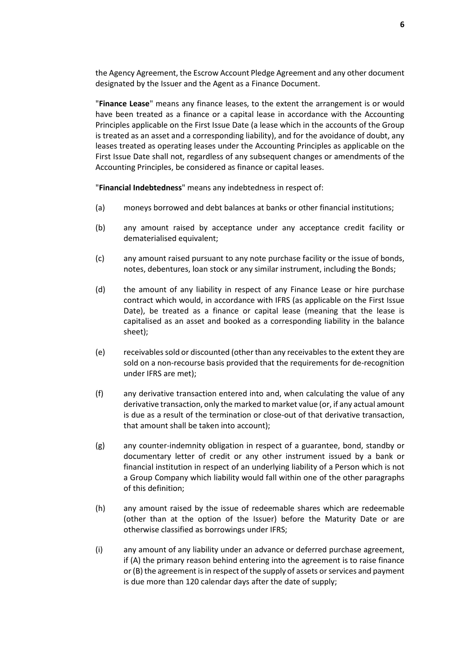the Agency Agreement, the Escrow Account Pledge Agreement and any other document designated by the Issuer and the Agent as a Finance Document.

"**Finance Lease**" means any finance leases, to the extent the arrangement is or would have been treated as a finance or a capital lease in accordance with the Accounting Principles applicable on the First Issue Date (a lease which in the accounts of the Group is treated as an asset and a corresponding liability), and for the avoidance of doubt, any leases treated as operating leases under the Accounting Principles as applicable on the First Issue Date shall not, regardless of any subsequent changes or amendments of the Accounting Principles, be considered as finance or capital leases.

"**Financial Indebtedness**" means any indebtedness in respect of:

- (a) moneys borrowed and debt balances at banks or other financial institutions;
- (b) any amount raised by acceptance under any acceptance credit facility or dematerialised equivalent;
- (c) any amount raised pursuant to any note purchase facility or the issue of bonds, notes, debentures, loan stock or any similar instrument, including the Bonds;
- (d) the amount of any liability in respect of any Finance Lease or hire purchase contract which would, in accordance with IFRS (as applicable on the First Issue Date), be treated as a finance or capital lease (meaning that the lease is capitalised as an asset and booked as a corresponding liability in the balance sheet);
- (e) receivables sold or discounted (other than any receivables to the extent they are sold on a non-recourse basis provided that the requirements for de-recognition under IFRS are met);
- (f) any derivative transaction entered into and, when calculating the value of any derivative transaction, only the marked to market value (or, if any actual amount is due as a result of the termination or close-out of that derivative transaction, that amount shall be taken into account);
- (g) any counter-indemnity obligation in respect of a guarantee, bond, standby or documentary letter of credit or any other instrument issued by a bank or financial institution in respect of an underlying liability of a Person which is not a Group Company which liability would fall within one of the other paragraphs of this definition;
- (h) any amount raised by the issue of redeemable shares which are redeemable (other than at the option of the Issuer) before the Maturity Date or are otherwise classified as borrowings under IFRS;
- (i) any amount of any liability under an advance or deferred purchase agreement, if (A) the primary reason behind entering into the agreement is to raise finance or (B) the agreement is in respect of the supply of assets or services and payment is due more than 120 calendar days after the date of supply;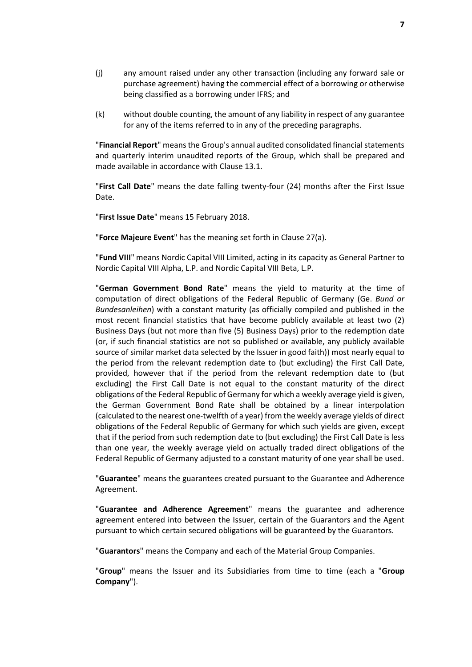- (j) any amount raised under any other transaction (including any forward sale or purchase agreement) having the commercial effect of a borrowing or otherwise being classified as a borrowing under IFRS; and
- (k) without double counting, the amount of any liability in respect of any guarantee for any of the items referred to in any of the preceding paragraphs.

"**Financial Report**" means the Group's annual audited consolidated financial statements and quarterly interim unaudited reports of the Group, which shall be prepared and made available in accordance with Clause [13.1.](#page-31-1)

"**First Call Date**" means the date falling twenty-four (24) months after the First Issue Date.

"**First Issue Date**" means 15 February 2018.

"**Force Majeure Event**" has the meaning set forth in Clause [27\(a\).](#page-55-2)

"**Fund VIII**" means Nordic Capital VIII Limited, acting in its capacity as General Partner to Nordic Capital VIII Alpha, L.P. and Nordic Capital VIII Beta, L.P.

"**German Government Bond Rate**" means the yield to maturity at the time of computation of direct obligations of the Federal Republic of Germany (Ge. *Bund or Bundesanleihen*) with a constant maturity (as officially compiled and published in the most recent financial statistics that have become publicly available at least two (2) Business Days (but not more than five (5) Business Days) prior to the redemption date (or, if such financial statistics are not so published or available, any publicly available source of similar market data selected by the Issuer in good faith)) most nearly equal to the period from the relevant redemption date to (but excluding) the First Call Date, provided, however that if the period from the relevant redemption date to (but excluding) the First Call Date is not equal to the constant maturity of the direct obligations of the Federal Republic of Germany for which a weekly average yield is given, the German Government Bond Rate shall be obtained by a linear interpolation (calculated to the nearest one-twelfth of a year) from the weekly average yields of direct obligations of the Federal Republic of Germany for which such yields are given, except that if the period from such redemption date to (but excluding) the First Call Date is less than one year, the weekly average yield on actually traded direct obligations of the Federal Republic of Germany adjusted to a constant maturity of one year shall be used.

"**Guarantee**" means the guarantees created pursuant to the Guarantee and Adherence Agreement.

"**Guarantee and Adherence Agreement**" means the guarantee and adherence agreement entered into between the Issuer, certain of the Guarantors and the Agent pursuant to which certain secured obligations will be guaranteed by the Guarantors.

"**Guarantors**" means the Company and each of the Material Group Companies.

"**Group**" means the Issuer and its Subsidiaries from time to time (each a "**Group Company**").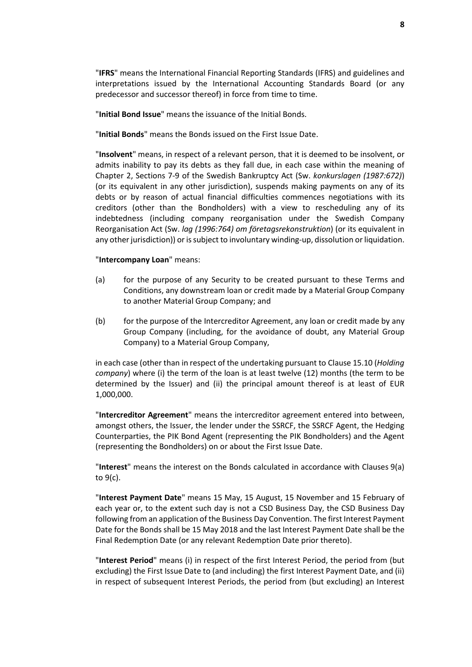"**IFRS**" means the International Financial Reporting Standards (IFRS) and guidelines and interpretations issued by the International Accounting Standards Board (or any predecessor and successor thereof) in force from time to time.

"**Initial Bond Issue**" means the issuance of the Initial Bonds.

"**Initial Bonds**" means the Bonds issued on the First Issue Date.

"**Insolvent**" means, in respect of a relevant person, that it is deemed to be insolvent, or admits inability to pay its debts as they fall due, in each case within the meaning of Chapter 2, Sections 7-9 of the Swedish Bankruptcy Act (Sw. *konkurslagen (1987:672)*) (or its equivalent in any other jurisdiction), suspends making payments on any of its debts or by reason of actual financial difficulties commences negotiations with its creditors (other than the Bondholders) with a view to rescheduling any of its indebtedness (including company reorganisation under the Swedish Company Reorganisation Act (Sw. *lag (1996:764) om företagsrekonstruktion*) (or its equivalent in any other jurisdiction)) or is subject to involuntary winding-up, dissolution or liquidation.

#### "**Intercompany Loan**" means:

- (a) for the purpose of any Security to be created pursuant to these Terms and Conditions, any downstream loan or credit made by a Material Group Company to another Material Group Company; and
- (b) for the purpose of the Intercreditor Agreement, any loan or credit made by any Group Company (including, for the avoidance of doubt, any Material Group Company) to a Material Group Company,

in each case (other than in respect of the undertaking pursuant to Clause [15.10 \(](#page-38-0)*[Holding](#page-38-0)  [company](#page-38-0)*) where (i) the term of the loan is at least twelve (12) months (the term to be determined by the Issuer) and (ii) the principal amount thereof is at least of EUR 1,000,000.

"**Intercreditor Agreement**" means the intercreditor agreement entered into between, amongst others, the Issuer, the lender under the SSRCF, the SSRCF Agent, the Hedging Counterparties, the PIK Bond Agent (representing the PIK Bondholders) and the Agent (representing the Bondholders) on or about the First Issue Date.

"**Interest**" means the interest on the Bonds calculated in accordance with Clauses [9\(a\)](#page-26-2) to  $9(c)$ .

"**Interest Payment Date**" means 15 May, 15 August, 15 November and 15 February of each year or, to the extent such day is not a CSD Business Day, the CSD Business Day following from an application of the Business Day Convention. The first Interest Payment Date for the Bonds shall be 15 May 2018 and the last Interest Payment Date shall be the Final Redemption Date (or any relevant Redemption Date prior thereto).

"**Interest Period**" means (i) in respect of the first Interest Period, the period from (but excluding) the First Issue Date to (and including) the first Interest Payment Date, and (ii) in respect of subsequent Interest Periods, the period from (but excluding) an Interest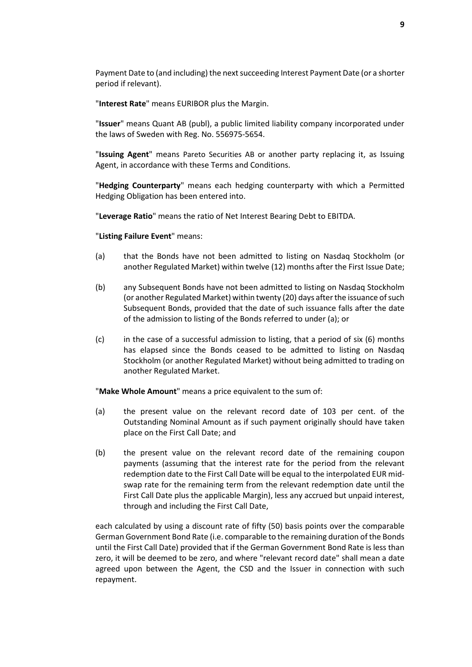Payment Date to (and including) the next succeeding Interest Payment Date (or a shorter period if relevant).

"**Interest Rate**" means EURIBOR plus the Margin.

"**Issuer**" means Quant AB (publ), a public limited liability company incorporated under the laws of Sweden with Reg. No. 556975-5654.

"**Issuing Agent**" means Pareto Securities AB or another party replacing it, as Issuing Agent, in accordance with these Terms and Conditions.

"**Hedging Counterparty**" means each hedging counterparty with which a Permitted Hedging Obligation has been entered into.

"**Leverage Ratio**" means the ratio of Net Interest Bearing Debt to EBITDA.

"**Listing Failure Event**" means:

- (a) that the Bonds have not been admitted to listing on Nasdaq Stockholm (or another Regulated Market) within twelve (12) months after the First Issue Date;
- (b) any Subsequent Bonds have not been admitted to listing on Nasdaq Stockholm (or another Regulated Market) within twenty (20) days after the issuance of such Subsequent Bonds, provided that the date of such issuance falls after the date of the admission to listing of the Bonds referred to under (a); or
- (c) in the case of a successful admission to listing, that a period of six (6) months has elapsed since the Bonds ceased to be admitted to listing on Nasdaq Stockholm (or another Regulated Market) without being admitted to trading on another Regulated Market.

"**Make Whole Amount**" means a price equivalent to the sum of:

- (a) the present value on the relevant record date of 103 per cent. of the Outstanding Nominal Amount as if such payment originally should have taken place on the First Call Date; and
- (b) the present value on the relevant record date of the remaining coupon payments (assuming that the interest rate for the period from the relevant redemption date to the First Call Date will be equal to the interpolated EUR midswap rate for the remaining term from the relevant redemption date until the First Call Date plus the applicable Margin), less any accrued but unpaid interest, through and including the First Call Date,

each calculated by using a discount rate of fifty (50) basis points over the comparable German Government Bond Rate (i.e. comparable to the remaining duration of the Bonds until the First Call Date) provided that if the German Government Bond Rate is less than zero, it will be deemed to be zero, and where "relevant record date" shall mean a date agreed upon between the Agent, the CSD and the Issuer in connection with such repayment.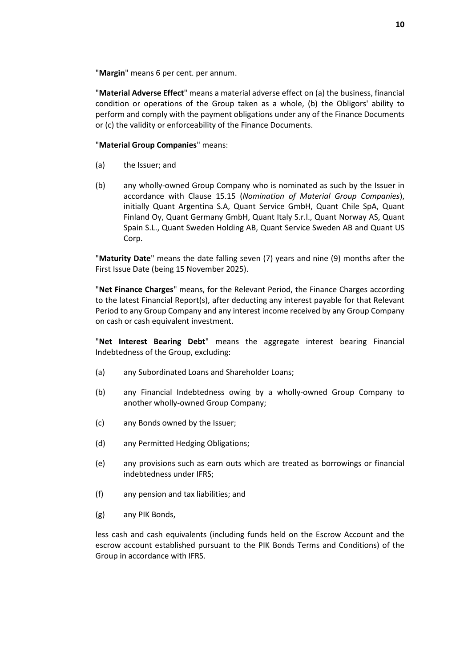"**Margin**" means 6 per cent. per annum.

"**Material Adverse Effect**" means a material adverse effect on (a) the business, financial condition or operations of the Group taken as a whole, (b) the Obligors' ability to perform and comply with the payment obligations under any of the Finance Documents or (c) the validity or enforceability of the Finance Documents.

#### "**Material Group Companies**" means:

- (a) the Issuer; and
- (b) any wholly-owned Group Company who is nominated as such by the Issuer in accordance with Clause [15.15](#page-39-0) (*[Nomination of Material Group Companies](#page-39-0)*), initially Quant Argentina S.A, Quant Service GmbH, Quant Chile SpA, Quant Finland Oy, Quant Germany GmbH, Quant Italy S.r.l., Quant Norway AS, Quant Spain S.L., Quant Sweden Holding AB, Quant Service Sweden AB and Quant US Corp.

"**Maturity Date**" means the date falling seven (7) years and nine (9) months after the First Issue Date (being 15 November 2025).

"**Net Finance Charges**" means, for the Relevant Period, the Finance Charges according to the latest Financial Report(s), after deducting any interest payable for that Relevant Period to any Group Company and any interest income received by any Group Company on cash or cash equivalent investment.

"**Net Interest Bearing Debt**" means the aggregate interest bearing Financial Indebtedness of the Group, excluding:

- (a) any Subordinated Loans and Shareholder Loans;
- (b) any Financial Indebtedness owing by a wholly-owned Group Company to another wholly-owned Group Company;
- (c) any Bonds owned by the Issuer;
- (d) any Permitted Hedging Obligations;
- (e) any provisions such as earn outs which are treated as borrowings or financial indebtedness under IFRS;
- (f) any pension and tax liabilities; and
- (g) any PIK Bonds,

less cash and cash equivalents (including funds held on the Escrow Account and the escrow account established pursuant to the PIK Bonds Terms and Conditions) of the Group in accordance with IFRS.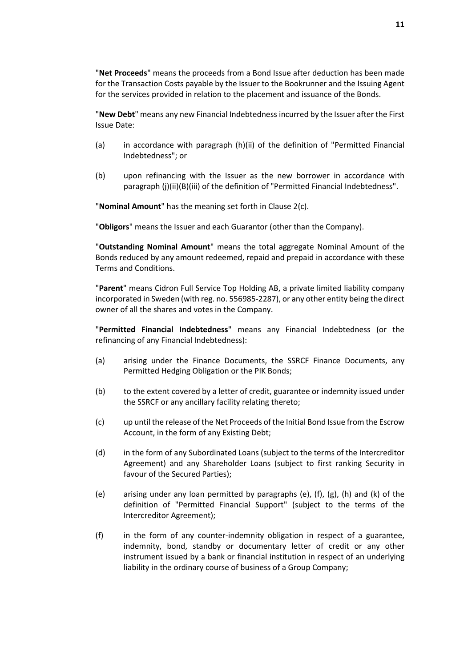"**Net Proceeds**" means the proceeds from a Bond Issue after deduction has been made for the Transaction Costs payable by the Issuer to the Bookrunner and the Issuing Agent for the services provided in relation to the placement and issuance of the Bonds.

"**New Debt**" means any new Financial Indebtedness incurred by the Issuer after the First Issue Date:

- (a) in accordance with paragraph [\(h\)\(ii\)](#page-13-0) of the definition of "Permitted Financial Indebtedness"; or
- (b) upon refinancing with the Issuer as the new borrower in accordance with paragraph [\(j\)\(ii\)](#page-13-1)[\(B\)\(](#page-13-2)iii) of the definition of "Permitted Financial Indebtedness".

"**Nominal Amount**" has the meaning set forth in Clause [2\(c\).](#page-21-0)

"**Obligors**" means the Issuer and each Guarantor (other than the Company).

"**Outstanding Nominal Amount**" means the total aggregate Nominal Amount of the Bonds reduced by any amount redeemed, repaid and prepaid in accordance with these Terms and Conditions.

"**Parent**" means Cidron Full Service Top Holding AB, a private limited liability company incorporated in Sweden (with reg. no. 556985-2287), or any other entity being the direct owner of all the shares and votes in the Company.

"**Permitted Financial Indebtedness**" means any Financial Indebtedness (or the refinancing of any Financial Indebtedness):

- (a) arising under the Finance Documents, the SSRCF Finance Documents, any Permitted Hedging Obligation or the PIK Bonds;
- (b) to the extent covered by a letter of credit, guarantee or indemnity issued under the SSRCF or any ancillary facility relating thereto;
- (c) up until the release of the Net Proceeds of the Initial Bond Issue from the Escrow Account, in the form of any Existing Debt;
- (d) in the form of any Subordinated Loans (subject to the terms of the Intercreditor Agreement) and any Shareholder Loans (subject to first ranking Security in favour of the Secured Parties);
- (e) arising under any loan permitted by paragraphs (e), (f), (g), (h) and (k) of the definition of "Permitted Financial Support" (subject to the terms of the Intercreditor Agreement);
- (f) in the form of any counter-indemnity obligation in respect of a guarantee, indemnity, bond, standby or documentary letter of credit or any other instrument issued by a bank or financial institution in respect of an underlying liability in the ordinary course of business of a Group Company;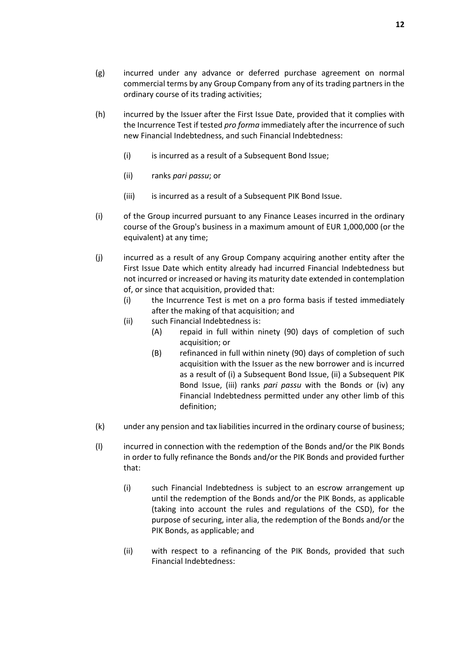- (g) incurred under any advance or deferred purchase agreement on normal commercial terms by any Group Company from any of its trading partners in the ordinary course of its trading activities;
- <span id="page-13-0"></span>(h) incurred by the Issuer after the First Issue Date, provided that it complies with the Incurrence Test if tested *pro forma* immediately after the incurrence of such new Financial Indebtedness, and such Financial Indebtedness:
	- (i) is incurred as a result of a Subsequent Bond Issue;
	- (ii) ranks *pari passu*; or
	- (iii) is incurred as a result of a Subsequent PIK Bond Issue.
- (i) of the Group incurred pursuant to any Finance Leases incurred in the ordinary course of the Group's business in a maximum amount of EUR 1,000,000 (or the equivalent) at any time;
- <span id="page-13-1"></span>(j) incurred as a result of any Group Company acquiring another entity after the First Issue Date which entity already had incurred Financial Indebtedness but not incurred or increased or having its maturity date extended in contemplation of, or since that acquisition, provided that:
	- (i) the Incurrence Test is met on a pro forma basis if tested immediately after the making of that acquisition; and
	- (ii) such Financial Indebtedness is:
		- (A) repaid in full within ninety (90) days of completion of such acquisition; or
		- (B) refinanced in full within ninety (90) days of completion of such acquisition with the Issuer as the new borrower and is incurred as a result of (i) a Subsequent Bond Issue, (ii) a Subsequent PIK Bond Issue, (iii) ranks *pari passu* with the Bonds or (iv) any Financial Indebtedness permitted under any other limb of this definition;
- <span id="page-13-2"></span>(k) under any pension and tax liabilities incurred in the ordinary course of business;
- (l) incurred in connection with the redemption of the Bonds and/or the PIK Bonds in order to fully refinance the Bonds and/or the PIK Bonds and provided further that:
	- (i) such Financial Indebtedness is subject to an escrow arrangement up until the redemption of the Bonds and/or the PIK Bonds, as applicable (taking into account the rules and regulations of the CSD), for the purpose of securing, inter alia, the redemption of the Bonds and/or the PIK Bonds, as applicable; and
	- (ii) with respect to a refinancing of the PIK Bonds, provided that such Financial Indebtedness: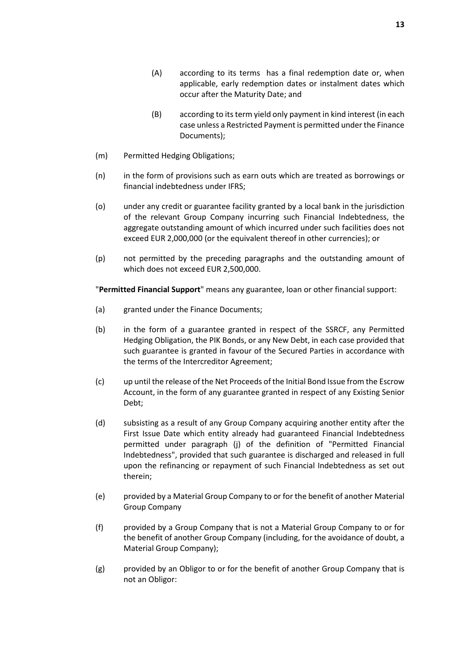- (A) according to its terms has a final redemption date or, when applicable, early redemption dates or instalment dates which occur after the Maturity Date; and
- (B) according to its term yield only payment in kind interest (in each case unless a Restricted Payment is permitted under the Finance Documents);
- (m) Permitted Hedging Obligations;
- (n) in the form of provisions such as earn outs which are treated as borrowings or financial indebtedness under IFRS;
- (o) under any credit or guarantee facility granted by a local bank in the jurisdiction of the relevant Group Company incurring such Financial Indebtedness, the aggregate outstanding amount of which incurred under such facilities does not exceed EUR 2,000,000 (or the equivalent thereof in other currencies); or
- (p) not permitted by the preceding paragraphs and the outstanding amount of which does not exceed EUR 2,500,000.

"**Permitted Financial Support**" means any guarantee, loan or other financial support:

- (a) granted under the Finance Documents;
- (b) in the form of a guarantee granted in respect of the SSRCF, any Permitted Hedging Obligation, the PIK Bonds, or any New Debt, in each case provided that such guarantee is granted in favour of the Secured Parties in accordance with the terms of the Intercreditor Agreement;
- (c) up until the release of the Net Proceeds of the Initial Bond Issue from the Escrow Account, in the form of any guarantee granted in respect of any Existing Senior Debt;
- (d) subsisting as a result of any Group Company acquiring another entity after the First Issue Date which entity already had guaranteed Financial Indebtedness permitted under paragraph (j) of the definition of "Permitted Financial Indebtedness", provided that such guarantee is discharged and released in full upon the refinancing or repayment of such Financial Indebtedness as set out therein;
- (e) provided by a Material Group Company to or for the benefit of another Material Group Company
- (f) provided by a Group Company that is not a Material Group Company to or for the benefit of another Group Company (including, for the avoidance of doubt, a Material Group Company);
- (g) provided by an Obligor to or for the benefit of another Group Company that is not an Obligor: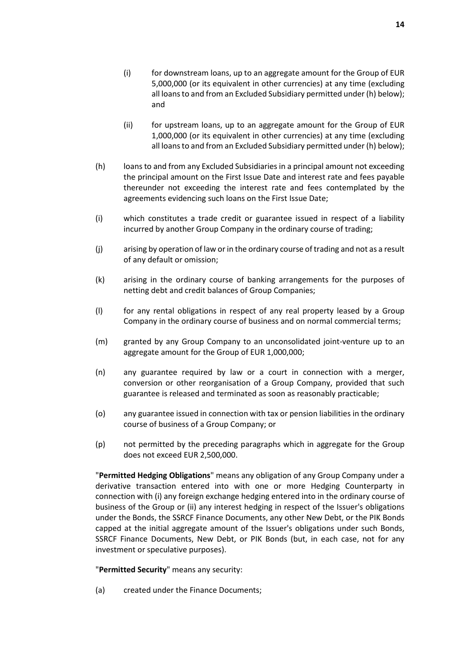- (i) for downstream loans, up to an aggregate amount for the Group of EUR 5,000,000 (or its equivalent in other currencies) at any time (excluding all loans to and from an Excluded Subsidiary permitted under (h) below); and
- (ii) for upstream loans, up to an aggregate amount for the Group of EUR 1,000,000 (or its equivalent in other currencies) at any time (excluding all loans to and from an Excluded Subsidiary permitted under (h) below);
- (h) loans to and from any Excluded Subsidiaries in a principal amount not exceeding the principal amount on the First Issue Date and interest rate and fees payable thereunder not exceeding the interest rate and fees contemplated by the agreements evidencing such loans on the First Issue Date;
- (i) which constitutes a trade credit or guarantee issued in respect of a liability incurred by another Group Company in the ordinary course of trading;
- (j) arising by operation of law or in the ordinary course of trading and not as a result of any default or omission;
- (k) arising in the ordinary course of banking arrangements for the purposes of netting debt and credit balances of Group Companies;
- (l) for any rental obligations in respect of any real property leased by a Group Company in the ordinary course of business and on normal commercial terms;
- (m) granted by any Group Company to an unconsolidated joint-venture up to an aggregate amount for the Group of EUR 1,000,000;
- (n) any guarantee required by law or a court in connection with a merger, conversion or other reorganisation of a Group Company, provided that such guarantee is released and terminated as soon as reasonably practicable;
- (o) any guarantee issued in connection with tax or pension liabilities in the ordinary course of business of a Group Company; or
- (p) not permitted by the preceding paragraphs which in aggregate for the Group does not exceed EUR 2,500,000.

"**Permitted Hedging Obligations**" means any obligation of any Group Company under a derivative transaction entered into with one or more Hedging Counterparty in connection with (i) any foreign exchange hedging entered into in the ordinary course of business of the Group or (ii) any interest hedging in respect of the Issuer's obligations under the Bonds, the SSRCF Finance Documents, any other New Debt, or the PIK Bonds capped at the initial aggregate amount of the Issuer's obligations under such Bonds, SSRCF Finance Documents, New Debt, or PIK Bonds (but, in each case, not for any investment or speculative purposes).

"**Permitted Security**" means any security:

(a) created under the Finance Documents;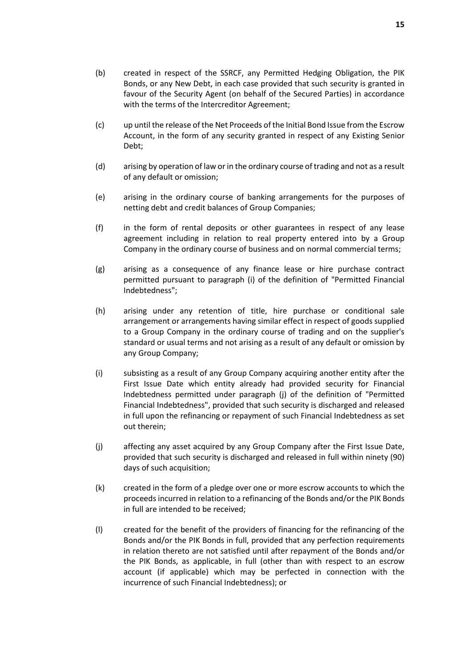- (b) created in respect of the SSRCF, any Permitted Hedging Obligation, the PIK Bonds, or any New Debt, in each case provided that such security is granted in favour of the Security Agent (on behalf of the Secured Parties) in accordance with the terms of the Intercreditor Agreement;
- (c) up until the release of the Net Proceeds of the Initial Bond Issue from the Escrow Account, in the form of any security granted in respect of any Existing Senior Debt;
- (d) arising by operation of law or in the ordinary course of trading and not as a result of any default or omission;
- (e) arising in the ordinary course of banking arrangements for the purposes of netting debt and credit balances of Group Companies;
- (f) in the form of rental deposits or other guarantees in respect of any lease agreement including in relation to real property entered into by a Group Company in the ordinary course of business and on normal commercial terms;
- (g) arising as a consequence of any finance lease or hire purchase contract permitted pursuant to paragraph (i) of the definition of "Permitted Financial Indebtedness";
- (h) arising under any retention of title, hire purchase or conditional sale arrangement or arrangements having similar effect in respect of goods supplied to a Group Company in the ordinary course of trading and on the supplier's standard or usual terms and not arising as a result of any default or omission by any Group Company;
- (i) subsisting as a result of any Group Company acquiring another entity after the First Issue Date which entity already had provided security for Financial Indebtedness permitted under paragraph (j) of the definition of "Permitted Financial Indebtedness", provided that such security is discharged and released in full upon the refinancing or repayment of such Financial Indebtedness as set out therein;
- (j) affecting any asset acquired by any Group Company after the First Issue Date, provided that such security is discharged and released in full within ninety (90) days of such acquisition;
- (k) created in the form of a pledge over one or more escrow accounts to which the proceeds incurred in relation to a refinancing of the Bonds and/or the PIK Bonds in full are intended to be received;
- (l) created for the benefit of the providers of financing for the refinancing of the Bonds and/or the PIK Bonds in full, provided that any perfection requirements in relation thereto are not satisfied until after repayment of the Bonds and/or the PIK Bonds, as applicable, in full (other than with respect to an escrow account (if applicable) which may be perfected in connection with the incurrence of such Financial Indebtedness); or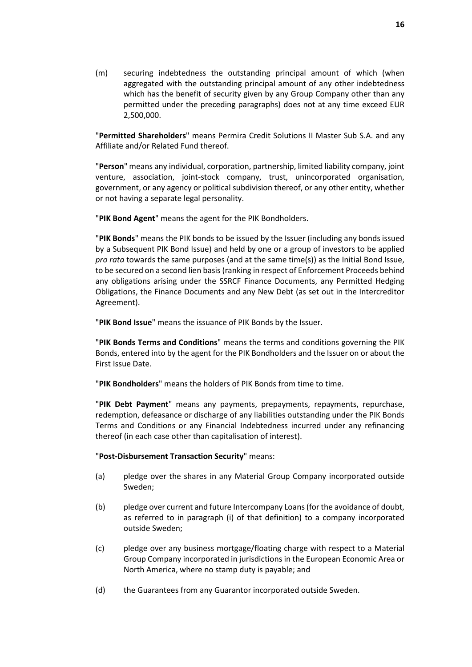(m) securing indebtedness the outstanding principal amount of which (when aggregated with the outstanding principal amount of any other indebtedness which has the benefit of security given by any Group Company other than any permitted under the preceding paragraphs) does not at any time exceed EUR 2,500,000.

"**Permitted Shareholders**" means Permira Credit Solutions II Master Sub S.A. and any Affiliate and/or Related Fund thereof.

"**Person**" means any individual, corporation, partnership, limited liability company, joint venture, association, joint-stock company, trust, unincorporated organisation, government, or any agency or political subdivision thereof, or any other entity, whether or not having a separate legal personality.

"**PIK Bond Agent**" means the agent for the PIK Bondholders.

"**PIK Bonds**" means the PIK bonds to be issued by the Issuer (including any bonds issued by a Subsequent PIK Bond Issue) and held by one or a group of investors to be applied *pro rata* towards the same purposes (and at the same time(s)) as the Initial Bond Issue, to be secured on a second lien basis (ranking in respect of Enforcement Proceeds behind any obligations arising under the SSRCF Finance Documents, any Permitted Hedging Obligations, the Finance Documents and any New Debt (as set out in the Intercreditor Agreement).

"**PIK Bond Issue**" means the issuance of PIK Bonds by the Issuer.

"**PIK Bonds Terms and Conditions**" means the terms and conditions governing the PIK Bonds, entered into by the agent for the PIK Bondholders and the Issuer on or about the First Issue Date.

"**PIK Bondholders**" means the holders of PIK Bonds from time to time.

"**PIK Debt Payment**" means any payments, prepayments, repayments, repurchase, redemption, defeasance or discharge of any liabilities outstanding under the PIK Bonds Terms and Conditions or any Financial Indebtedness incurred under any refinancing thereof (in each case other than capitalisation of interest).

"**Post-Disbursement Transaction Security**" means:

- (a) pledge over the shares in any Material Group Company incorporated outside Sweden;
- (b) pledge over current and future Intercompany Loans (for the avoidance of doubt, as referred to in paragraph (i) of that definition) to a company incorporated outside Sweden;
- (c) pledge over any business mortgage/floating charge with respect to a Material Group Company incorporated in jurisdictions in the European Economic Area or North America, where no stamp duty is payable; and
- (d) the Guarantees from any Guarantor incorporated outside Sweden.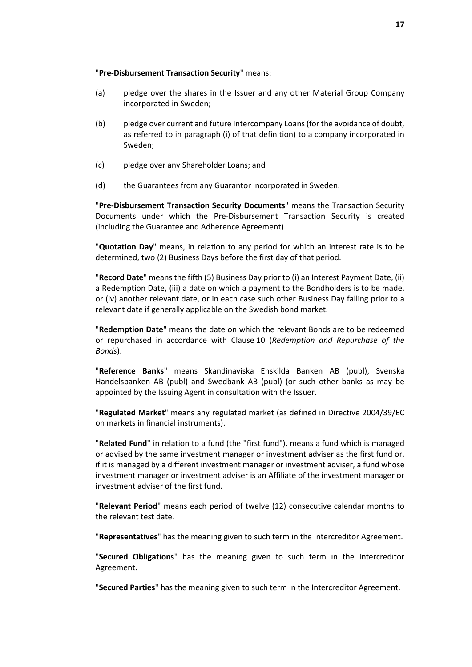#### "**Pre-Disbursement Transaction Security**" means:

- (a) pledge over the shares in the Issuer and any other Material Group Company incorporated in Sweden;
- (b) pledge over current and future Intercompany Loans (for the avoidance of doubt, as referred to in paragraph (i) of that definition) to a company incorporated in Sweden;
- (c) pledge over any Shareholder Loans; and
- (d) the Guarantees from any Guarantor incorporated in Sweden.

"**Pre-Disbursement Transaction Security Documents**" means the Transaction Security Documents under which the Pre-Disbursement Transaction Security is created (including the Guarantee and Adherence Agreement).

"**Quotation Day**" means, in relation to any period for which an interest rate is to be determined, two (2) Business Days before the first day of that period.

"**Record Date**" means the fifth (5) Business Day prior to (i) an Interest Payment Date, (ii) a Redemption Date, (iii) a date on which a payment to the Bondholders is to be made, or (iv) another relevant date, or in each case such other Business Day falling prior to a relevant date if generally applicable on the Swedish bond market.

"**Redemption Date**" means the date on which the relevant Bonds are to be redeemed or repurchased in accordance with Clause [10](#page-26-1) (*[Redemption and Repurchase of the](#page-26-1)  [Bonds](#page-26-1)*).

"**Reference Banks**" means Skandinaviska Enskilda Banken AB (publ), Svenska Handelsbanken AB (publ) and Swedbank AB (publ) (or such other banks as may be appointed by the Issuing Agent in consultation with the Issuer.

"**Regulated Market**" means any regulated market (as defined in Directive 2004/39/EC on markets in financial instruments).

"**Related Fund**" in relation to a fund (the "first fund"), means a fund which is managed or advised by the same investment manager or investment adviser as the first fund or, if it is managed by a different investment manager or investment adviser, a fund whose investment manager or investment adviser is an Affiliate of the investment manager or investment adviser of the first fund.

"**Relevant Period**" means each period of twelve (12) consecutive calendar months to the relevant test date.

"**Representatives**" has the meaning given to such term in the Intercreditor Agreement.

"**Secured Obligations**" has the meaning given to such term in the Intercreditor Agreement.

"**Secured Parties**" has the meaning given to such term in the Intercreditor Agreement.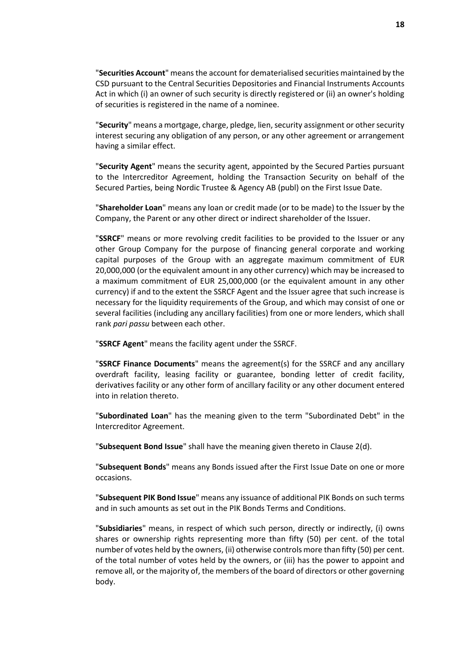"**Securities Account**" means the account for dematerialised securities maintained by the CSD pursuant to the Central Securities Depositories and Financial Instruments Accounts Act in which (i) an owner of such security is directly registered or (ii) an owner's holding of securities is registered in the name of a nominee.

"**Security**" means a mortgage, charge, pledge, lien, security assignment or other security interest securing any obligation of any person, or any other agreement or arrangement having a similar effect.

"**Security Agent**" means the security agent, appointed by the Secured Parties pursuant to the Intercreditor Agreement, holding the Transaction Security on behalf of the Secured Parties, being Nordic Trustee & Agency AB (publ) on the First Issue Date.

"**Shareholder Loan**" means any loan or credit made (or to be made) to the Issuer by the Company, the Parent or any other direct or indirect shareholder of the Issuer.

"**SSRCF**" means or more revolving credit facilities to be provided to the Issuer or any other Group Company for the purpose of financing general corporate and working capital purposes of the Group with an aggregate maximum commitment of EUR 20,000,000 (or the equivalent amount in any other currency) which may be increased to a maximum commitment of EUR 25,000,000 (or the equivalent amount in any other currency) if and to the extent the SSRCF Agent and the Issuer agree that such increase is necessary for the liquidity requirements of the Group, and which may consist of one or several facilities (including any ancillary facilities) from one or more lenders, which shall rank *pari passu* between each other.

"**SSRCF Agent**" means the facility agent under the SSRCF.

"**SSRCF Finance Documents**" means the agreement(s) for the SSRCF and any ancillary overdraft facility, leasing facility or guarantee, bonding letter of credit facility, derivatives facility or any other form of ancillary facility or any other document entered into in relation thereto.

"**Subordinated Loan**" has the meaning given to the term "Subordinated Debt" in the Intercreditor Agreement.

"**Subsequent Bond Issue**" shall have the meaning given thereto in Clause [2\(d\).](#page-21-0)

"**Subsequent Bonds**" means any Bonds issued after the First Issue Date on one or more occasions.

"**Subsequent PIK Bond Issue**" means any issuance of additional PIK Bonds on such terms and in such amounts as set out in the PIK Bonds Terms and Conditions.

"**Subsidiaries**" means, in respect of which such person, directly or indirectly, (i) owns shares or ownership rights representing more than fifty (50) per cent. of the total number of votes held by the owners, (ii) otherwise controls more than fifty (50) per cent. of the total number of votes held by the owners, or (iii) has the power to appoint and remove all, or the majority of, the members of the board of directors or other governing body.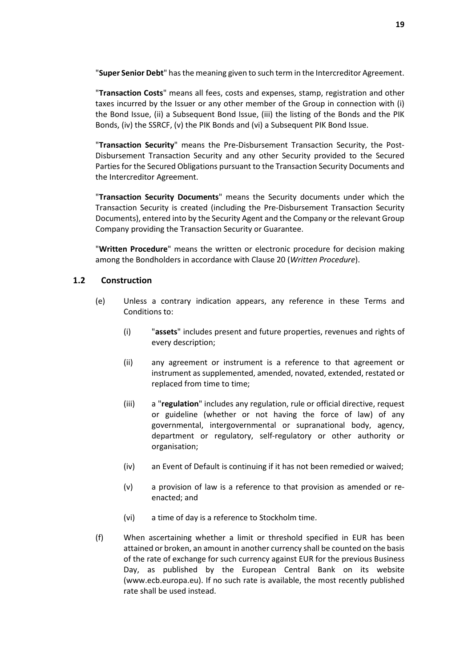"**Super Senior Debt**" has the meaning given to such term in the Intercreditor Agreement.

"**Transaction Costs**" means all fees, costs and expenses, stamp, registration and other taxes incurred by the Issuer or any other member of the Group in connection with (i) the Bond Issue, (ii) a Subsequent Bond Issue, (iii) the listing of the Bonds and the PIK Bonds, (iv) the SSRCF, (v) the PIK Bonds and (vi) a Subsequent PIK Bond Issue.

"**Transaction Security**" means the Pre-Disbursement Transaction Security, the Post-Disbursement Transaction Security and any other Security provided to the Secured Parties for the Secured Obligations pursuant to the Transaction Security Documents and the Intercreditor Agreement.

"**Transaction Security Documents**" means the Security documents under which the Transaction Security is created (including the Pre-Disbursement Transaction Security Documents), entered into by the Security Agent and the Company or the relevant Group Company providing the Transaction Security or Guarantee.

"**Written Procedure**" means the written or electronic procedure for decision making among the Bondholders in accordance with Clause [20](#page-48-0) (*[Written Procedure](#page-48-0)*).

#### **1.2 Construction**

- (e) Unless a contrary indication appears, any reference in these Terms and Conditions to:
	- (i) "**assets**" includes present and future properties, revenues and rights of every description;
	- (ii) any agreement or instrument is a reference to that agreement or instrument as supplemented, amended, novated, extended, restated or replaced from time to time;
	- (iii) a "**regulation**" includes any regulation, rule or official directive, request or guideline (whether or not having the force of law) of any governmental, intergovernmental or supranational body, agency, department or regulatory, self-regulatory or other authority or organisation;
	- (iv) an Event of Default is continuing if it has not been remedied or waived;
	- (v) a provision of law is a reference to that provision as amended or reenacted; and
	- (vi) a time of day is a reference to Stockholm time.
- (f) When ascertaining whether a limit or threshold specified in EUR has been attained or broken, an amount in another currency shall be counted on the basis of the rate of exchange for such currency against EUR for the previous Business Day, as published by the European Central Bank on its website (www.ecb.europa.eu). If no such rate is available, the most recently published rate shall be used instead.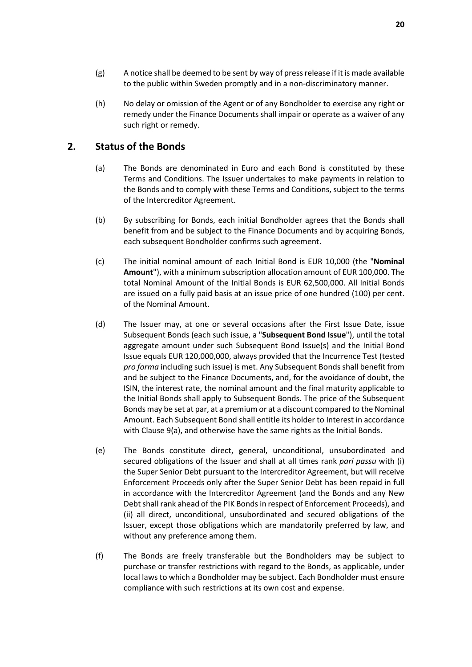- $(g)$  A notice shall be deemed to be sent by way of press release if it is made available to the public within Sweden promptly and in a non-discriminatory manner.
- (h) No delay or omission of the Agent or of any Bondholder to exercise any right or remedy under the Finance Documents shall impair or operate as a waiver of any such right or remedy.

#### <span id="page-21-0"></span>**2. Status of the Bonds**

- (a) The Bonds are denominated in Euro and each Bond is constituted by these Terms and Conditions. The Issuer undertakes to make payments in relation to the Bonds and to comply with these Terms and Conditions, subject to the terms of the Intercreditor Agreement.
- (b) By subscribing for Bonds, each initial Bondholder agrees that the Bonds shall benefit from and be subject to the Finance Documents and by acquiring Bonds, each subsequent Bondholder confirms such agreement.
- (c) The initial nominal amount of each Initial Bond is EUR 10,000 (the "**Nominal Amount**"), with a minimum subscription allocation amount of EUR 100,000. The total Nominal Amount of the Initial Bonds is EUR 62,500,000. All Initial Bonds are issued on a fully paid basis at an issue price of one hundred (100) per cent. of the Nominal Amount.
- (d) The Issuer may, at one or several occasions after the First Issue Date, issue Subsequent Bonds (each such issue, a "**Subsequent Bond Issue**"), until the total aggregate amount under such Subsequent Bond Issue(s) and the Initial Bond Issue equals EUR 120,000,000, always provided that the Incurrence Test (tested *pro forma* including such issue) is met. Any Subsequent Bonds shall benefit from and be subject to the Finance Documents, and, for the avoidance of doubt, the ISIN, the interest rate, the nominal amount and the final maturity applicable to the Initial Bonds shall apply to Subsequent Bonds. The price of the Subsequent Bonds may be set at par, at a premium or at a discount compared to the Nominal Amount. Each Subsequent Bond shall entitle its holder to Interest in accordance with Clause [9\(a\),](#page-26-2) and otherwise have the same rights as the Initial Bonds.
- (e) The Bonds constitute direct, general, unconditional, unsubordinated and secured obligations of the Issuer and shall at all times rank *pari passu* with (i) the Super Senior Debt pursuant to the Intercreditor Agreement, but will receive Enforcement Proceeds only after the Super Senior Debt has been repaid in full in accordance with the Intercreditor Agreement (and the Bonds and any New Debt shall rank ahead of the PIK Bonds in respect of Enforcement Proceeds), and (ii) all direct, unconditional, unsubordinated and secured obligations of the Issuer, except those obligations which are mandatorily preferred by law, and without any preference among them.
- (f) The Bonds are freely transferable but the Bondholders may be subject to purchase or transfer restrictions with regard to the Bonds, as applicable, under local laws to which a Bondholder may be subject. Each Bondholder must ensure compliance with such restrictions at its own cost and expense.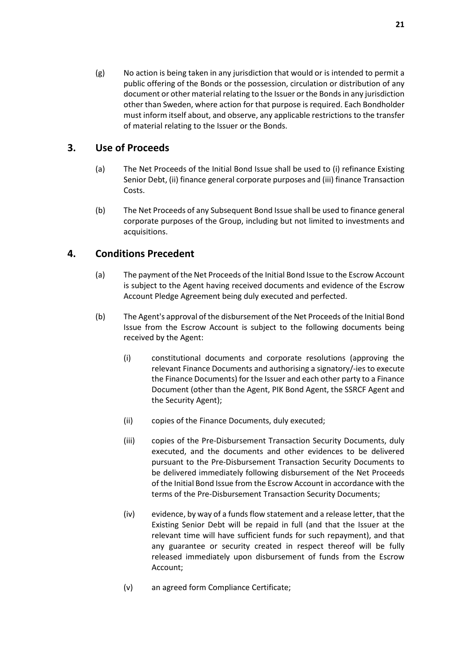(g) No action is being taken in any jurisdiction that would or is intended to permit a public offering of the Bonds or the possession, circulation or distribution of any document or other material relating to the Issuer or the Bonds in any jurisdiction other than Sweden, where action for that purpose is required. Each Bondholder must inform itself about, and observe, any applicable restrictions to the transfer of material relating to the Issuer or the Bonds.

## <span id="page-22-0"></span>**3. Use of Proceeds**

- (a) The Net Proceeds of the Initial Bond Issue shall be used to (i) refinance Existing Senior Debt, (ii) finance general corporate purposes and (iii) finance Transaction Costs.
- (b) The Net Proceeds of any Subsequent Bond Issue shall be used to finance general corporate purposes of the Group, including but not limited to investments and acquisitions.

## <span id="page-22-1"></span>**4. Conditions Precedent**

- (a) The payment of the Net Proceeds of the Initial Bond Issue to the Escrow Account is subject to the Agent having received documents and evidence of the Escrow Account Pledge Agreement being duly executed and perfected.
- <span id="page-22-4"></span><span id="page-22-3"></span><span id="page-22-2"></span>(b) The Agent's approval of the disbursement of the Net Proceeds of the Initial Bond Issue from the Escrow Account is subject to the following documents being received by the Agent:
	- (i) constitutional documents and corporate resolutions (approving the relevant Finance Documents and authorising a signatory/-ies to execute the Finance Documents) for the Issuer and each other party to a Finance Document (other than the Agent, PIK Bond Agent, the SSRCF Agent and the Security Agent);
	- (ii) copies of the Finance Documents, duly executed;
	- (iii) copies of the Pre-Disbursement Transaction Security Documents, duly executed, and the documents and other evidences to be delivered pursuant to the Pre-Disbursement Transaction Security Documents to be delivered immediately following disbursement of the Net Proceeds of the Initial Bond Issue from the Escrow Account in accordance with the terms of the Pre-Disbursement Transaction Security Documents;
	- (iv) evidence, by way of a funds flow statement and a release letter, that the Existing Senior Debt will be repaid in full (and that the Issuer at the relevant time will have sufficient funds for such repayment), and that any guarantee or security created in respect thereof will be fully released immediately upon disbursement of funds from the Escrow Account;
	- (v) an agreed form Compliance Certificate;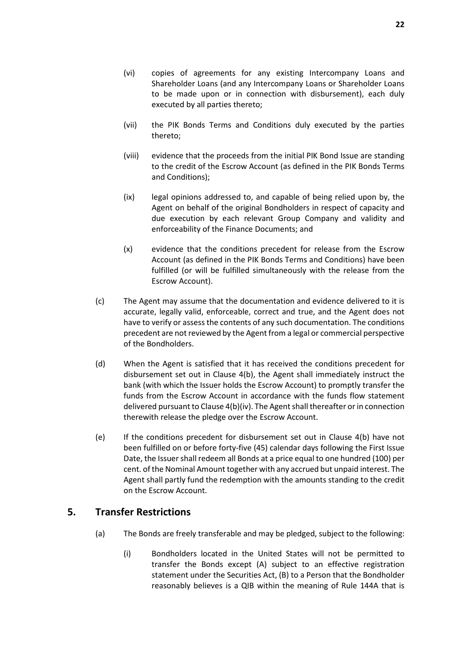- (vi) copies of agreements for any existing Intercompany Loans and Shareholder Loans (and any Intercompany Loans or Shareholder Loans to be made upon or in connection with disbursement), each duly executed by all parties thereto;
- (vii) the PIK Bonds Terms and Conditions duly executed by the parties thereto;
- (viii) evidence that the proceeds from the initial PIK Bond Issue are standing to the credit of the Escrow Account (as defined in the PIK Bonds Terms and Conditions);
- (ix) legal opinions addressed to, and capable of being relied upon by, the Agent on behalf of the original Bondholders in respect of capacity and due execution by each relevant Group Company and validity and enforceability of the Finance Documents; and
- (x) evidence that the conditions precedent for release from the Escrow Account (as defined in the PIK Bonds Terms and Conditions) have been fulfilled (or will be fulfilled simultaneously with the release from the Escrow Account).
- (c) The Agent may assume that the documentation and evidence delivered to it is accurate, legally valid, enforceable, correct and true, and the Agent does not have to verify or assess the contents of any such documentation. The conditions precedent are not reviewed by the Agent from a legal or commercial perspective of the Bondholders.
- (d) When the Agent is satisfied that it has received the conditions precedent for disbursement set out in Clause [4\(b\),](#page-22-2) the Agent shall immediately instruct the bank (with which the Issuer holds the Escrow Account) to promptly transfer the funds from the Escrow Account in accordance with the funds flow statement delivered pursuant to Claus[e 4\(b\)\(iv\).](#page-22-3) The Agent shall thereafter or in connection therewith release the pledge over the Escrow Account.
- (e) If the conditions precedent for disbursement set out in Clause [4\(b\)](#page-22-2) have not been fulfilled on or before forty-five (45) calendar days following the First Issue Date, the Issuer shall redeem all Bonds at a price equal to one hundred (100) per cent. of the Nominal Amount together with any accrued but unpaid interest. The Agent shall partly fund the redemption with the amounts standing to the credit on the Escrow Account.

#### <span id="page-23-0"></span>**5. Transfer Restrictions**

- (a) The Bonds are freely transferable and may be pledged, subject to the following:
	- (i) Bondholders located in the United States will not be permitted to transfer the Bonds except (A) subject to an effective registration statement under the Securities Act, (B) to a Person that the Bondholder reasonably believes is a QIB within the meaning of Rule 144A that is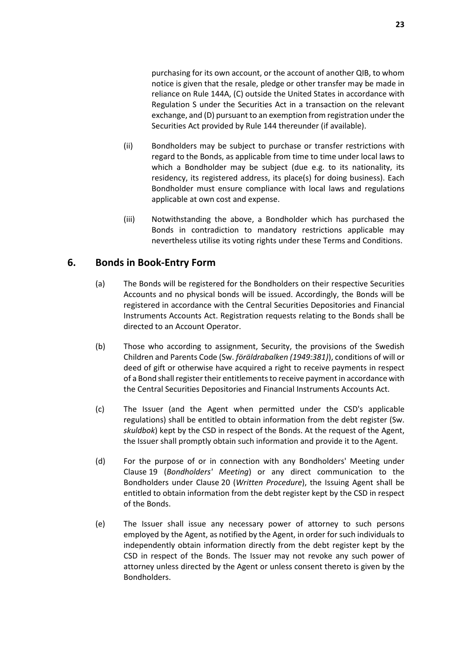purchasing for its own account, or the account of another QIB, to whom notice is given that the resale, pledge or other transfer may be made in reliance on Rule 144A, (C) outside the United States in accordance with Regulation S under the Securities Act in a transaction on the relevant exchange, and (D) pursuant to an exemption from registration under the Securities Act provided by Rule 144 thereunder (if available).

- (ii) Bondholders may be subject to purchase or transfer restrictions with regard to the Bonds, as applicable from time to time under local laws to which a Bondholder may be subject (due e.g. to its nationality, its residency, its registered address, its place(s) for doing business). Each Bondholder must ensure compliance with local laws and regulations applicable at own cost and expense.
- (iii) Notwithstanding the above, a Bondholder which has purchased the Bonds in contradiction to mandatory restrictions applicable may nevertheless utilise its voting rights under these Terms and Conditions.

## <span id="page-24-0"></span>**6. Bonds in Book-Entry Form**

- (a) The Bonds will be registered for the Bondholders on their respective Securities Accounts and no physical bonds will be issued. Accordingly, the Bonds will be registered in accordance with the Central Securities Depositories and Financial Instruments Accounts Act. Registration requests relating to the Bonds shall be directed to an Account Operator.
- (b) Those who according to assignment, Security, the provisions of the Swedish Children and Parents Code (Sw. *föräldrabalken (1949:381)*), conditions of will or deed of gift or otherwise have acquired a right to receive payments in respect of a Bond shall register their entitlements to receive payment in accordance with the Central Securities Depositories and Financial Instruments Accounts Act.
- (c) The Issuer (and the Agent when permitted under the CSD's applicable regulations) shall be entitled to obtain information from the debt register (Sw. *skuldbok*) kept by the CSD in respect of the Bonds. At the request of the Agent, the Issuer shall promptly obtain such information and provide it to the Agent.
- (d) For the purpose of or in connection with any Bondholders' Meeting under Claus[e 19](#page-47-0) (*[Bondholders' Meeting](#page-47-0)*) or any direct communication to the Bondholders under Clause [20](#page-48-0) (*[Written Procedure](#page-48-0)*), the Issuing Agent shall be entitled to obtain information from the debt register kept by the CSD in respect of the Bonds.
- (e) The Issuer shall issue any necessary power of attorney to such persons employed by the Agent, as notified by the Agent, in order for such individuals to independently obtain information directly from the debt register kept by the CSD in respect of the Bonds. The Issuer may not revoke any such power of attorney unless directed by the Agent or unless consent thereto is given by the Bondholders.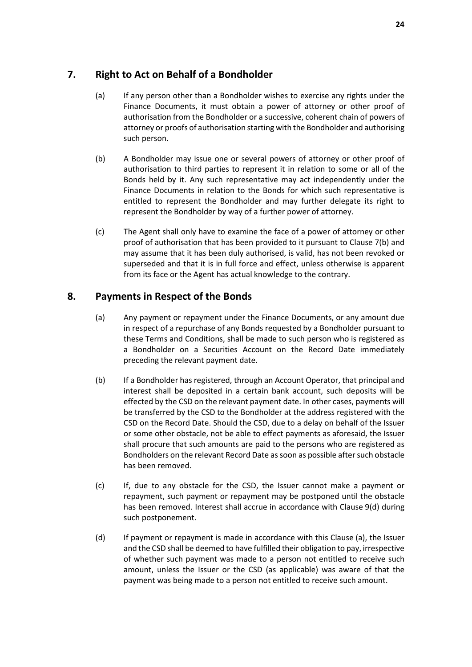## <span id="page-25-2"></span><span id="page-25-0"></span>**7. Right to Act on Behalf of a Bondholder**

- (a) If any person other than a Bondholder wishes to exercise any rights under the Finance Documents, it must obtain a power of attorney or other proof of authorisation from the Bondholder or a successive, coherent chain of powers of attorney or proofs of authorisation starting with the Bondholder and authorising such person.
- (b) A Bondholder may issue one or several powers of attorney or other proof of authorisation to third parties to represent it in relation to some or all of the Bonds held by it. Any such representative may act independently under the Finance Documents in relation to the Bonds for which such representative is entitled to represent the Bondholder and may further delegate its right to represent the Bondholder by way of a further power of attorney.
- (c) The Agent shall only have to examine the face of a power of attorney or other proof of authorisation that has been provided to it pursuant to Claus[e 7\(b\)](#page-25-0) and may assume that it has been duly authorised, is valid, has not been revoked or superseded and that it is in full force and effect, unless otherwise is apparent from its face or the Agent has actual knowledge to the contrary.

## <span id="page-25-1"></span>**8. Payments in Respect of the Bonds**

- (a) Any payment or repayment under the Finance Documents, or any amount due in respect of a repurchase of any Bonds requested by a Bondholder pursuant to these Terms and Conditions, shall be made to such person who is registered as a Bondholder on a Securities Account on the Record Date immediately preceding the relevant payment date.
- (b) If a Bondholder has registered, through an Account Operator, that principal and interest shall be deposited in a certain bank account, such deposits will be effected by the CSD on the relevant payment date. In other cases, payments will be transferred by the CSD to the Bondholder at the address registered with the CSD on the Record Date. Should the CSD, due to a delay on behalf of the Issuer or some other obstacle, not be able to effect payments as aforesaid, the Issuer shall procure that such amounts are paid to the persons who are registered as Bondholders on the relevant Record Date as soon as possible after such obstacle has been removed.
- (c) If, due to any obstacle for the CSD, the Issuer cannot make a payment or repayment, such payment or repayment may be postponed until the obstacle has been removed. Interest shall accrue in accordance with Claus[e 9\(d\)](#page-26-4) during such postponement.
- (d) If payment or repayment is made in accordance with this Claus[e \(a\),](#page-25-2) the Issuer and the CSD shall be deemed to have fulfilled their obligation to pay, irrespective of whether such payment was made to a person not entitled to receive such amount, unless the Issuer or the CSD (as applicable) was aware of that the payment was being made to a person not entitled to receive such amount.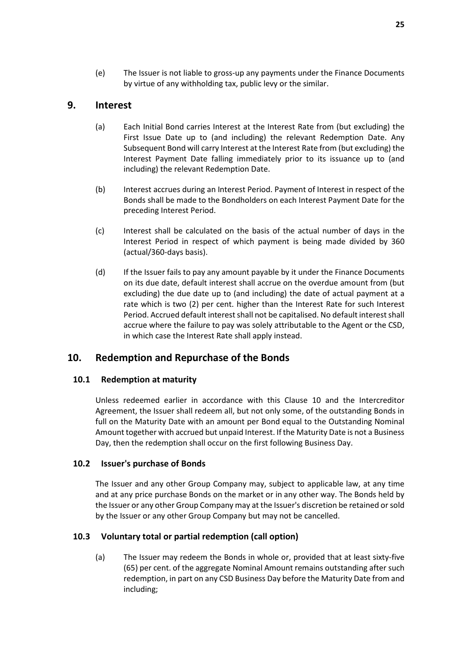#### <span id="page-26-2"></span><span id="page-26-0"></span>**9. Interest**

(a) Each Initial Bond carries Interest at the Interest Rate from (but excluding) the First Issue Date up to (and including) the relevant Redemption Date. Any Subsequent Bond will carry Interest at the Interest Rate from (but excluding) the Interest Payment Date falling immediately prior to its issuance up to (and including) the relevant Redemption Date.

by virtue of any withholding tax, public levy or the similar.

- (b) Interest accrues during an Interest Period. Payment of Interest in respect of the Bonds shall be made to the Bondholders on each Interest Payment Date for the preceding Interest Period.
- <span id="page-26-3"></span>(c) Interest shall be calculated on the basis of the actual number of days in the Interest Period in respect of which payment is being made divided by 360 (actual/360-days basis).
- <span id="page-26-4"></span>(d) If the Issuer fails to pay any amount payable by it under the Finance Documents on its due date, default interest shall accrue on the overdue amount from (but excluding) the due date up to (and including) the date of actual payment at a rate which is two (2) per cent. higher than the Interest Rate for such Interest Period. Accrued default interest shall not be capitalised. No default interest shall accrue where the failure to pay was solely attributable to the Agent or the CSD, in which case the Interest Rate shall apply instead.

## <span id="page-26-1"></span>**10. Redemption and Repurchase of the Bonds**

#### **10.1 Redemption at maturity**

Unless redeemed earlier in accordance with this Clause [10](#page-26-1) and the Intercreditor Agreement, the Issuer shall redeem all, but not only some, of the outstanding Bonds in full on the Maturity Date with an amount per Bond equal to the Outstanding Nominal Amount together with accrued but unpaid Interest. If the Maturity Date is not a Business Day, then the redemption shall occur on the first following Business Day.

#### **10.2 Issuer's purchase of Bonds**

The Issuer and any other Group Company may, subject to applicable law, at any time and at any price purchase Bonds on the market or in any other way. The Bonds held by the Issuer or any other Group Company may at the Issuer's discretion be retained or sold by the Issuer or any other Group Company but may not be cancelled.

#### <span id="page-26-6"></span><span id="page-26-5"></span>**10.3 Voluntary total or partial redemption (call option)**

(a) The Issuer may redeem the Bonds in whole or, provided that at least sixty-five (65) per cent. of the aggregate Nominal Amount remains outstanding after such redemption, in part on any CSD Business Day before the Maturity Date from and including;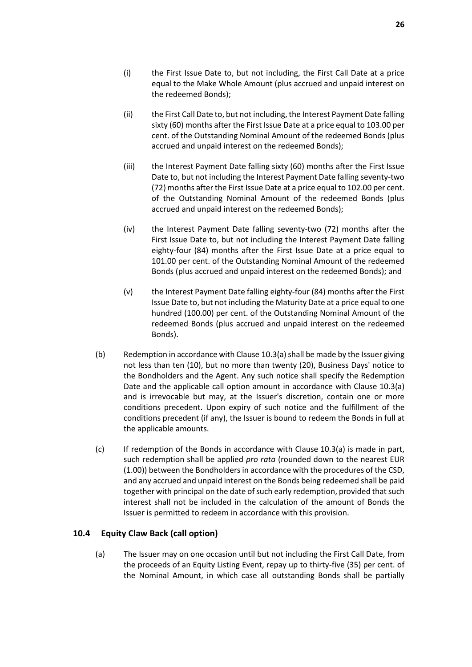- (i) the First Issue Date to, but not including, the First Call Date at a price equal to the Make Whole Amount (plus accrued and unpaid interest on the redeemed Bonds);
- (ii) the First Call Date to, but not including, the Interest Payment Date falling sixty (60) months after the First Issue Date at a price equal to 103.00 per cent. of the Outstanding Nominal Amount of the redeemed Bonds (plus accrued and unpaid interest on the redeemed Bonds);
- (iii) the Interest Payment Date falling sixty (60) months after the First Issue Date to, but not including the Interest Payment Date falling seventy-two (72) months after the First Issue Date at a price equal to 102.00 per cent. of the Outstanding Nominal Amount of the redeemed Bonds (plus accrued and unpaid interest on the redeemed Bonds);
- (iv) the Interest Payment Date falling seventy-two (72) months after the First Issue Date to, but not including the Interest Payment Date falling eighty-four (84) months after the First Issue Date at a price equal to 101.00 per cent. of the Outstanding Nominal Amount of the redeemed Bonds (plus accrued and unpaid interest on the redeemed Bonds); and
- (v) the Interest Payment Date falling eighty-four (84) months after the First Issue Date to, but not including the Maturity Date at a price equal to one hundred (100.00) per cent. of the Outstanding Nominal Amount of the redeemed Bonds (plus accrued and unpaid interest on the redeemed Bonds).
- (b) Redemption in accordance with Clause [10.3\(a\) s](#page-26-5)hall be made by the Issuer giving not less than ten (10), but no more than twenty (20), Business Days' notice to the Bondholders and the Agent. Any such notice shall specify the Redemption Date and the applicable call option amount in accordance with Clause [10.3\(a\)](#page-26-5) and is irrevocable but may, at the Issuer's discretion, contain one or more conditions precedent. Upon expiry of such notice and the fulfillment of the conditions precedent (if any), the Issuer is bound to redeem the Bonds in full at the applicable amounts.
- (c) If redemption of the Bonds in accordance with Clause [10.3\(a\)](#page-26-5) is made in part, such redemption shall be applied *pro rata* (rounded down to the nearest EUR (1.00)) between the Bondholders in accordance with the procedures of the CSD, and any accrued and unpaid interest on the Bonds being redeemed shall be paid together with principal on the date of such early redemption, provided that such interest shall not be included in the calculation of the amount of Bonds the Issuer is permitted to redeem in accordance with this provision.

#### <span id="page-27-1"></span><span id="page-27-0"></span>**10.4 Equity Claw Back (call option)**

(a) The Issuer may on one occasion until but not including the First Call Date, from the proceeds of an Equity Listing Event, repay up to thirty-five (35) per cent. of the Nominal Amount, in which case all outstanding Bonds shall be partially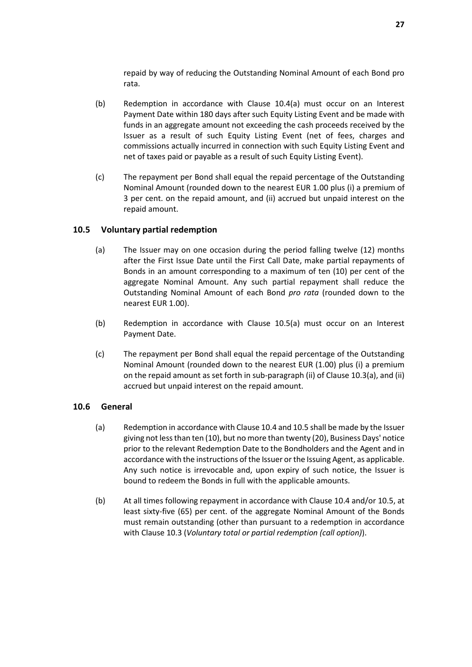repaid by way of reducing the Outstanding Nominal Amount of each Bond pro rata.

- (b) Redemption in accordance with Clause [10.4\(a\)](#page-27-0) must occur on an Interest Payment Date within 180 days after such Equity Listing Event and be made with funds in an aggregate amount not exceeding the cash proceeds received by the Issuer as a result of such Equity Listing Event (net of fees, charges and commissions actually incurred in connection with such Equity Listing Event and net of taxes paid or payable as a result of such Equity Listing Event).
- (c) The repayment per Bond shall equal the repaid percentage of the Outstanding Nominal Amount (rounded down to the nearest EUR 1.00 plus (i) a premium of 3 per cent. on the repaid amount, and (ii) accrued but unpaid interest on the repaid amount.

#### <span id="page-28-1"></span><span id="page-28-0"></span>**10.5 Voluntary partial redemption**

- (a) The Issuer may on one occasion during the period falling twelve (12) months after the First Issue Date until the First Call Date, make partial repayments of Bonds in an amount corresponding to a maximum of ten (10) per cent of the aggregate Nominal Amount. Any such partial repayment shall reduce the Outstanding Nominal Amount of each Bond *pro rata* (rounded down to the nearest EUR 1.00).
- (b) Redemption in accordance with Clause [10.5\(a\)](#page-28-0) must occur on an Interest Payment Date.
- (c) The repayment per Bond shall equal the repaid percentage of the Outstanding Nominal Amount (rounded down to the nearest EUR (1.00) plus (i) a premium on the repaid amount as set forth in sub-paragraph (ii) of Clause [10.3\(a\),](#page-26-5) and (ii) accrued but unpaid interest on the repaid amount.

#### **10.6 General**

- (a) Redemption in accordance with Claus[e 10.4](#page-27-1) and [10.5 s](#page-28-1)hall be made by the Issuer giving not less than ten (10), but no more than twenty (20), Business Days' notice prior to the relevant Redemption Date to the Bondholders and the Agent and in accordance with the instructions of the Issuer or the Issuing Agent, as applicable. Any such notice is irrevocable and, upon expiry of such notice, the Issuer is bound to redeem the Bonds in full with the applicable amounts.
- (b) At all times following repayment in accordance with Claus[e 10.4](#page-27-1) and/o[r 10.5,](#page-28-1) at least sixty-five (65) per cent. of the aggregate Nominal Amount of the Bonds must remain outstanding (other than pursuant to a redemption in accordance with Clause [10.3](#page-26-6) (*[Voluntary total or partial redemption \(call option\)](#page-26-6)*).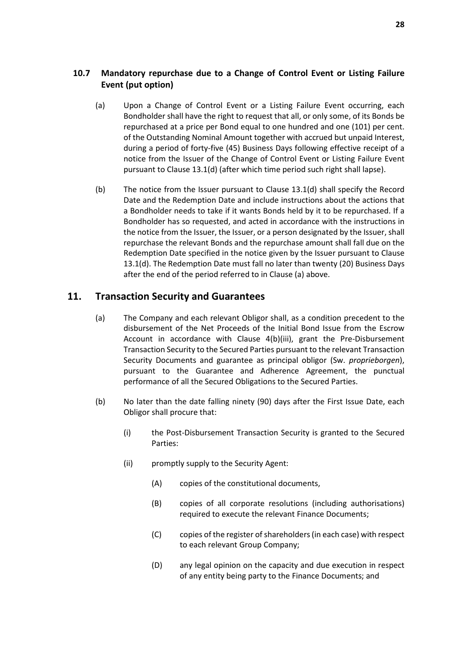#### **10.7 Mandatory repurchase due to a Change of Control Event or Listing Failure Event (put option)**

- <span id="page-29-1"></span>(a) Upon a Change of Control Event or a Listing Failure Event occurring, each Bondholder shall have the right to request that all, or only some, of its Bonds be repurchased at a price per Bond equal to one hundred and one (101) per cent. of the Outstanding Nominal Amount together with accrued but unpaid Interest, during a period of forty-five (45) Business Days following effective receipt of a notice from the Issuer of the Change of Control Event or Listing Failure Event pursuant to Clause [13.1\(d\) \(](#page-32-0)after which time period such right shall lapse).
- (b) The notice from the Issuer pursuant to Clause [13.1\(d\)](#page-32-0) shall specify the Record Date and the Redemption Date and include instructions about the actions that a Bondholder needs to take if it wants Bonds held by it to be repurchased. If a Bondholder has so requested, and acted in accordance with the instructions in the notice from the Issuer, the Issuer, or a person designated by the Issuer, shall repurchase the relevant Bonds and the repurchase amount shall fall due on the Redemption Date specified in the notice given by the Issuer pursuant to Clause [13.1\(d\).](#page-32-0) The Redemption Date must fall no later than twenty (20) Business Days after the end of the period referred to in Clause [\(a\)](#page-29-1) above.

## <span id="page-29-0"></span>**11. Transaction Security and Guarantees**

- (a) The Company and each relevant Obligor shall, as a condition precedent to the disbursement of the Net Proceeds of the Initial Bond Issue from the Escrow Account in accordance with Clause [4\(b\)\(iii\),](#page-22-4) grant the Pre-Disbursement Transaction Security to the Secured Parties pursuant to the relevant Transaction Security Documents and guarantee as principal obligor (Sw. *proprieborgen*), pursuant to the Guarantee and Adherence Agreement, the punctual performance of all the Secured Obligations to the Secured Parties.
- (b) No later than the date falling ninety (90) days after the First Issue Date, each Obligor shall procure that:
	- (i) the Post-Disbursement Transaction Security is granted to the Secured Parties:
	- (ii) promptly supply to the Security Agent:
		- (A) copies of the constitutional documents,
		- (B) copies of all corporate resolutions (including authorisations) required to execute the relevant Finance Documents;
		- (C) copies of the register of shareholders (in each case) with respect to each relevant Group Company;
		- (D) any legal opinion on the capacity and due execution in respect of any entity being party to the Finance Documents; and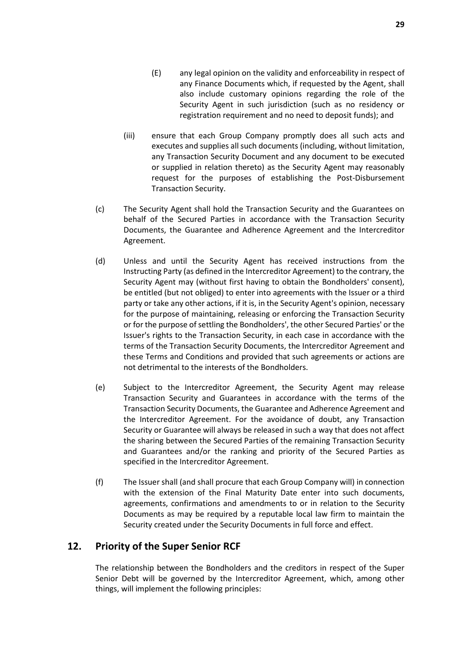Security Agent in such jurisdiction (such as no residency or registration requirement and no need to deposit funds); and

- (iii) ensure that each Group Company promptly does all such acts and executes and supplies all such documents (including, without limitation, any Transaction Security Document and any document to be executed or supplied in relation thereto) as the Security Agent may reasonably request for the purposes of establishing the Post-Disbursement Transaction Security.
- (c) The Security Agent shall hold the Transaction Security and the Guarantees on behalf of the Secured Parties in accordance with the Transaction Security Documents, the Guarantee and Adherence Agreement and the Intercreditor Agreement.
- (d) Unless and until the Security Agent has received instructions from the Instructing Party (as defined in the Intercreditor Agreement) to the contrary, the Security Agent may (without first having to obtain the Bondholders' consent), be entitled (but not obliged) to enter into agreements with the Issuer or a third party or take any other actions, if it is, in the Security Agent's opinion, necessary for the purpose of maintaining, releasing or enforcing the Transaction Security or for the purpose of settling the Bondholders', the other Secured Parties' or the Issuer's rights to the Transaction Security, in each case in accordance with the terms of the Transaction Security Documents, the Intercreditor Agreement and these Terms and Conditions and provided that such agreements or actions are not detrimental to the interests of the Bondholders.
- (e) Subject to the Intercreditor Agreement, the Security Agent may release Transaction Security and Guarantees in accordance with the terms of the Transaction Security Documents, the Guarantee and Adherence Agreement and the Intercreditor Agreement. For the avoidance of doubt, any Transaction Security or Guarantee will always be released in such a way that does not affect the sharing between the Secured Parties of the remaining Transaction Security and Guarantees and/or the ranking and priority of the Secured Parties as specified in the Intercreditor Agreement.
- (f) The Issuer shall (and shall procure that each Group Company will) in connection with the extension of the Final Maturity Date enter into such documents, agreements, confirmations and amendments to or in relation to the Security Documents as may be required by a reputable local law firm to maintain the Security created under the Security Documents in full force and effect.

#### <span id="page-30-0"></span>**12. Priority of the Super Senior RCF**

The relationship between the Bondholders and the creditors in respect of the Super Senior Debt will be governed by the Intercreditor Agreement, which, among other things, will implement the following principles: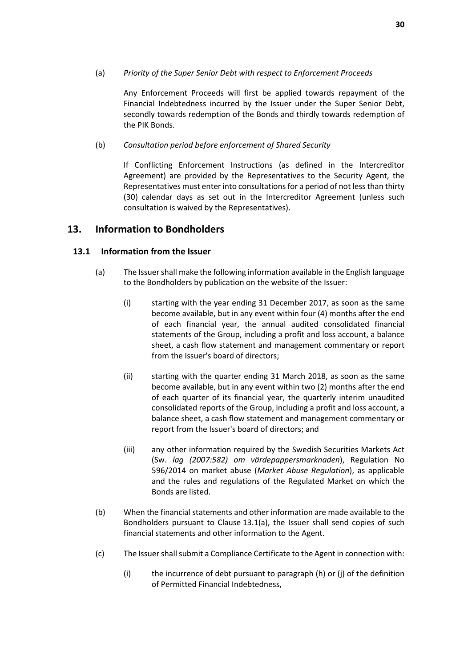#### (a) *Priority of the Super Senior Debt with respect to Enforcement Proceeds*

Any Enforcement Proceeds will first be applied towards repayment of the Financial Indebtedness incurred by the Issuer under the Super Senior Debt, secondly towards redemption of the Bonds and thirdly towards redemption of the PIK Bonds.

#### (b) *Consultation period before enforcement of Shared Security*

If Conflicting Enforcement Instructions (as defined in the Intercreditor Agreement) are provided by the Representatives to the Security Agent, the Representatives must enter into consultations for a period of not less than thirty (30) calendar days as set out in the Intercreditor Agreement (unless such consultation is waived by the Representatives).

#### <span id="page-31-0"></span>**13. Information to Bondholders**

#### <span id="page-31-1"></span>**13.1 Information from the Issuer**

- <span id="page-31-2"></span>(a) The Issuer shall make the following information available in the English language to the Bondholders by publication on the website of the Issuer:
	- (i) starting with the year ending 31 December 2017, as soon as the same become available, but in any event within four (4) months after the end of each financial year, the annual audited consolidated financial statements of the Group, including a profit and loss account, a balance sheet, a cash flow statement and management commentary or report from the Issuer's board of directors;
	- (ii) starting with the quarter ending 31 March 2018, as soon as the same become available, but in any event within two (2) months after the end of each quarter of its financial year, the quarterly interim unaudited consolidated reports of the Group, including a profit and loss account, a balance sheet, a cash flow statement and management commentary or report from the Issuer's board of directors; and
	- (iii) any other information required by the Swedish Securities Markets Act (Sw. *lag (2007:582) om värdepappersmarknaden*), Regulation No 596/2014 on market abuse (*Market Abuse Regulation*), as applicable and the rules and regulations of the Regulated Market on which the Bonds are listed.
- (b) When the financial statements and other information are made available to the Bondholders pursuant to Clause [13.1\(a\),](#page-31-1) the Issuer shall send copies of such financial statements and other information to the Agent.
- (c) The Issuer shall submit a Compliance Certificate to the Agent in connection with:
	- (i) the incurrence of debt pursuant to paragraph (h) or (j) of the definition of Permitted Financial Indebtedness,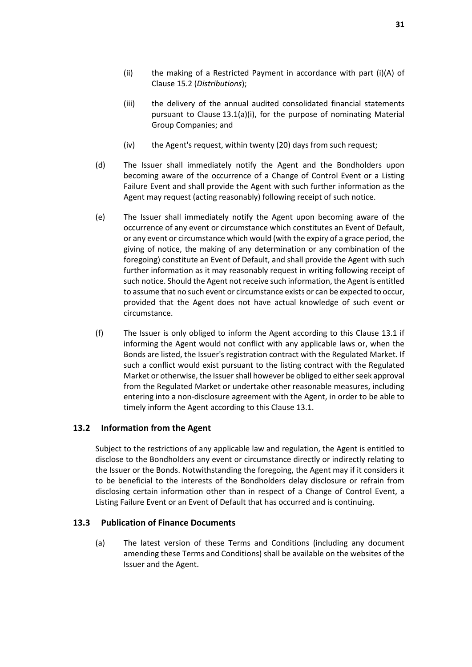- (ii) the making of a Restricted Payment in accordance with part (i)(A) of Clause [15.2](#page-34-1) (*[Distributions](#page-34-1)*);
- (iii) the delivery of the annual audited consolidated financial statements pursuant to Claus[e 13.1\(a\)](#page-31-1)[\(i\),](#page-31-2) for the purpose of nominating Material Group Companies; and
- (iv) the Agent's request, within twenty (20) days from such request;
- <span id="page-32-0"></span>(d) The Issuer shall immediately notify the Agent and the Bondholders upon becoming aware of the occurrence of a Change of Control Event or a Listing Failure Event and shall provide the Agent with such further information as the Agent may request (acting reasonably) following receipt of such notice.
- (e) The Issuer shall immediately notify the Agent upon becoming aware of the occurrence of any event or circumstance which constitutes an Event of Default, or any event or circumstance which would (with the expiry of a grace period, the giving of notice, the making of any determination or any combination of the foregoing) constitute an Event of Default, and shall provide the Agent with such further information as it may reasonably request in writing following receipt of such notice. Should the Agent not receive such information, the Agent is entitled to assume that no such event or circumstance exists or can be expected to occur, provided that the Agent does not have actual knowledge of such event or circumstance.
- (f) The Issuer is only obliged to inform the Agent according to this Clause [13.1](#page-31-1) if informing the Agent would not conflict with any applicable laws or, when the Bonds are listed, the Issuer's registration contract with the Regulated Market. If such a conflict would exist pursuant to the listing contract with the Regulated Market or otherwise, the Issuer shall however be obliged to either seek approval from the Regulated Market or undertake other reasonable measures, including entering into a non-disclosure agreement with the Agent, in order to be able to timely inform the Agent according to this Clause [13.1.](#page-31-1)

#### **13.2 Information from the Agent**

Subject to the restrictions of any applicable law and regulation, the Agent is entitled to disclose to the Bondholders any event or circumstance directly or indirectly relating to the Issuer or the Bonds. Notwithstanding the foregoing, the Agent may if it considers it to be beneficial to the interests of the Bondholders delay disclosure or refrain from disclosing certain information other than in respect of a Change of Control Event, a Listing Failure Event or an Event of Default that has occurred and is continuing.

#### <span id="page-32-1"></span>**13.3 Publication of Finance Documents**

(a) The latest version of these Terms and Conditions (including any document amending these Terms and Conditions) shall be available on the websites of the Issuer and the Agent.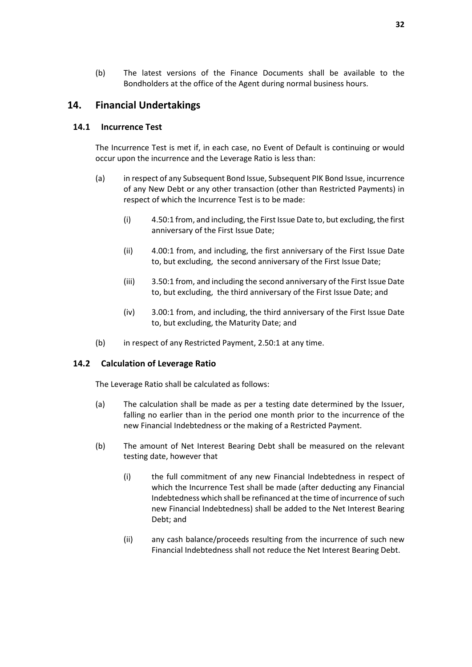(b) The latest versions of the Finance Documents shall be available to the Bondholders at the office of the Agent during normal business hours.

#### <span id="page-33-0"></span>**14. Financial Undertakings**

#### **14.1 Incurrence Test**

The Incurrence Test is met if, in each case, no Event of Default is continuing or would occur upon the incurrence and the Leverage Ratio is less than:

- (a) in respect of any Subsequent Bond Issue, Subsequent PIK Bond Issue, incurrence of any New Debt or any other transaction (other than Restricted Payments) in respect of which the Incurrence Test is to be made:
	- (i) 4.50:1 from, and including, the First Issue Date to, but excluding, the first anniversary of the First Issue Date;
	- (ii) 4.00:1 from, and including, the first anniversary of the First Issue Date to, but excluding, the second anniversary of the First Issue Date;
	- (iii) 3.50:1 from, and including the second anniversary of the First Issue Date to, but excluding, the third anniversary of the First Issue Date; and
	- (iv) 3.00:1 from, and including, the third anniversary of the First Issue Date to, but excluding, the Maturity Date; and
- (b) in respect of any Restricted Payment, 2.50:1 at any time.

#### **14.2 Calculation of Leverage Ratio**

The Leverage Ratio shall be calculated as follows:

- (a) The calculation shall be made as per a testing date determined by the Issuer, falling no earlier than in the period one month prior to the incurrence of the new Financial Indebtedness or the making of a Restricted Payment.
- (b) The amount of Net Interest Bearing Debt shall be measured on the relevant testing date, however that
	- (i) the full commitment of any new Financial Indebtedness in respect of which the Incurrence Test shall be made (after deducting any Financial Indebtedness which shall be refinanced at the time of incurrence of such new Financial Indebtedness) shall be added to the Net Interest Bearing Debt; and
	- (ii) any cash balance/proceeds resulting from the incurrence of such new Financial Indebtedness shall not reduce the Net Interest Bearing Debt.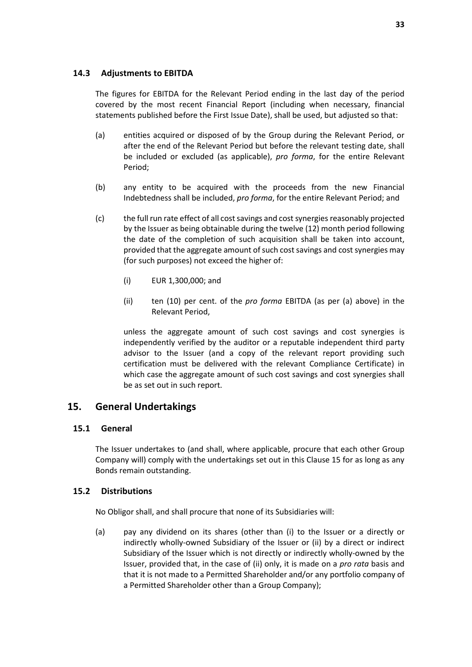#### **14.3 Adjustments to EBITDA**

The figures for EBITDA for the Relevant Period ending in the last day of the period covered by the most recent Financial Report (including when necessary, financial statements published before the First Issue Date), shall be used, but adjusted so that:

- (a) entities acquired or disposed of by the Group during the Relevant Period, or after the end of the Relevant Period but before the relevant testing date, shall be included or excluded (as applicable), *pro forma*, for the entire Relevant Period;
- (b) any entity to be acquired with the proceeds from the new Financial Indebtedness shall be included, *pro forma*, for the entire Relevant Period; and
- (c) the full run rate effect of all cost savings and cost synergies reasonably projected by the Issuer as being obtainable during the twelve (12) month period following the date of the completion of such acquisition shall be taken into account, provided that the aggregate amount of such cost savings and cost synergies may (for such purposes) not exceed the higher of:
	- (i) EUR 1,300,000; and
	- (ii) ten (10) per cent. of the *pro forma* EBITDA (as per (a) above) in the Relevant Period,

unless the aggregate amount of such cost savings and cost synergies is independently verified by the auditor or a reputable independent third party advisor to the Issuer (and a copy of the relevant report providing such certification must be delivered with the relevant Compliance Certificate) in which case the aggregate amount of such cost savings and cost synergies shall be as set out in such report.

#### <span id="page-34-0"></span>**15. General Undertakings**

#### **15.1 General**

The Issuer undertakes to (and shall, where applicable, procure that each other Group Company will) comply with the undertakings set out in this Claus[e 15](#page-34-0) for as long as any Bonds remain outstanding.

#### <span id="page-34-1"></span>**15.2 Distributions**

No Obligor shall, and shall procure that none of its Subsidiaries will:

<span id="page-34-2"></span>(a) pay any dividend on its shares (other than (i) to the Issuer or a directly or indirectly wholly-owned Subsidiary of the Issuer or (ii) by a direct or indirect Subsidiary of the Issuer which is not directly or indirectly wholly-owned by the Issuer, provided that, in the case of (ii) only, it is made on a *pro rata* basis and that it is not made to a Permitted Shareholder and/or any portfolio company of a Permitted Shareholder other than a Group Company);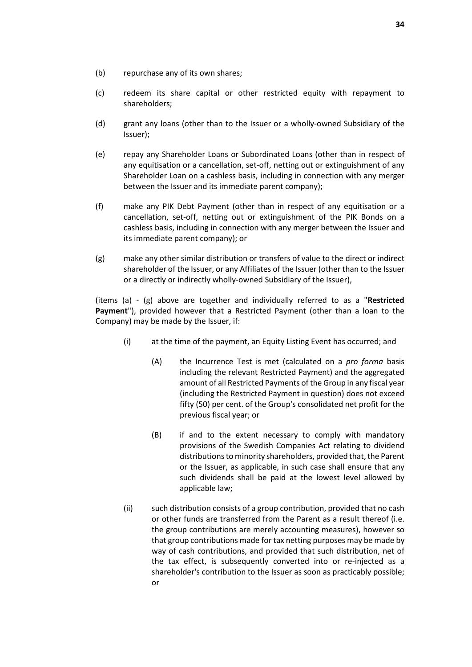- (b) repurchase any of its own shares;
- (c) redeem its share capital or other restricted equity with repayment to shareholders;
- (d) grant any loans (other than to the Issuer or a wholly-owned Subsidiary of the Issuer);
- (e) repay any Shareholder Loans or Subordinated Loans (other than in respect of any equitisation or a cancellation, set-off, netting out or extinguishment of any Shareholder Loan on a cashless basis, including in connection with any merger between the Issuer and its immediate parent company);
- (f) make any PIK Debt Payment (other than in respect of any equitisation or a cancellation, set-off, netting out or extinguishment of the PIK Bonds on a cashless basis, including in connection with any merger between the Issuer and its immediate parent company); or
- <span id="page-35-0"></span>(g) make any other similar distribution or transfers of value to the direct or indirect shareholder of the Issuer, or any Affiliates of the Issuer (other than to the Issuer or a directly or indirectly wholly-owned Subsidiary of the Issuer),

(items [\(a\)](#page-34-2) - [\(g\)](#page-35-0) above are together and individually referred to as a "**Restricted Payment**"), provided however that a Restricted Payment (other than a loan to the Company) may be made by the Issuer, if:

- (i) at the time of the payment, an Equity Listing Event has occurred; and
	- (A) the Incurrence Test is met (calculated on a *pro forma* basis including the relevant Restricted Payment) and the aggregated amount of all Restricted Payments of the Group in any fiscal year (including the Restricted Payment in question) does not exceed fifty (50) per cent. of the Group's consolidated net profit for the previous fiscal year; or
	- (B) if and to the extent necessary to comply with mandatory provisions of the Swedish Companies Act relating to dividend distributions to minority shareholders, provided that, the Parent or the Issuer, as applicable, in such case shall ensure that any such dividends shall be paid at the lowest level allowed by applicable law;
- (ii) such distribution consists of a group contribution, provided that no cash or other funds are transferred from the Parent as a result thereof (i.e. the group contributions are merely accounting measures), however so that group contributions made for tax netting purposes may be made by way of cash contributions, and provided that such distribution, net of the tax effect, is subsequently converted into or re-injected as a shareholder's contribution to the Issuer as soon as practicably possible; or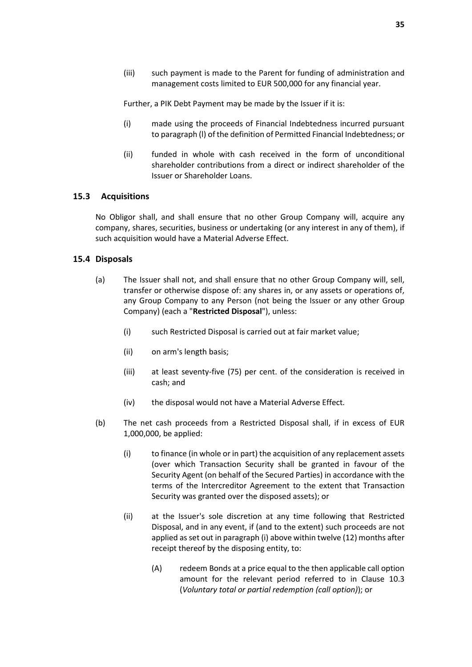(iii) such payment is made to the Parent for funding of administration and management costs limited to EUR 500,000 for any financial year.

Further, a PIK Debt Payment may be made by the Issuer if it is:

- (i) made using the proceeds of Financial Indebtedness incurred pursuant to paragraph (l) of the definition of Permitted Financial Indebtedness; or
- (ii) funded in whole with cash received in the form of unconditional shareholder contributions from a direct or indirect shareholder of the Issuer or Shareholder Loans.

#### **15.3 Acquisitions**

No Obligor shall, and shall ensure that no other Group Company will, acquire any company, shares, securities, business or undertaking (or any interest in any of them), if such acquisition would have a Material Adverse Effect.

#### **15.4 Disposals**

- (a) The Issuer shall not, and shall ensure that no other Group Company will, sell, transfer or otherwise dispose of: any shares in, or any assets or operations of, any Group Company to any Person (not being the Issuer or any other Group Company) (each a "**Restricted Disposal**"), unless:
	- (i) such Restricted Disposal is carried out at fair market value;
	- (ii) on arm's length basis;
	- (iii) at least seventy-five (75) per cent. of the consideration is received in cash; and
	- (iv) the disposal would not have a Material Adverse Effect.
- (b) The net cash proceeds from a Restricted Disposal shall, if in excess of EUR 1,000,000, be applied:
	- (i) to finance (in whole or in part) the acquisition of any replacement assets (over which Transaction Security shall be granted in favour of the Security Agent (on behalf of the Secured Parties) in accordance with the terms of the Intercreditor Agreement to the extent that Transaction Security was granted over the disposed assets); or
	- (ii) at the Issuer's sole discretion at any time following that Restricted Disposal, and in any event, if (and to the extent) such proceeds are not applied as set out in paragraph (i) above within twelve (12) months after receipt thereof by the disposing entity, to:
		- (A) redeem Bonds at a price equal to the then applicable call option amount for the relevant period referred to in Clause [10.3](#page-26-6) (*[Voluntary total or partial redemption \(call option\)](#page-26-6)*); or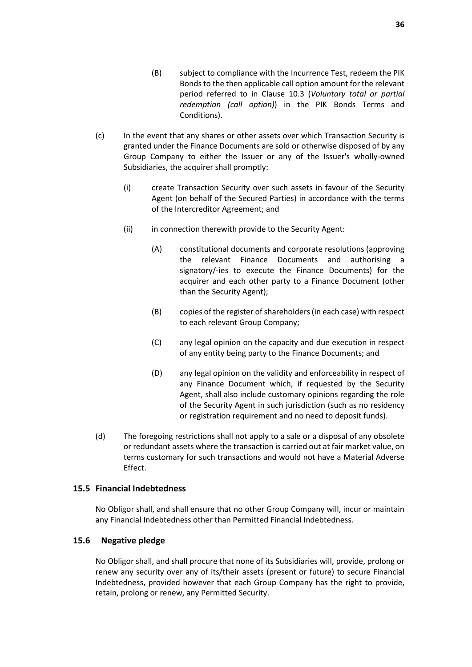- (B) subject to compliance with the Incurrence Test, redeem the PIK Bonds to the then applicable call option amount for the relevant period referred to in Clause 10.3 (*Voluntary total or partial redemption (call option)*) in the PIK Bonds Terms and Conditions).
- (c) In the event that any shares or other assets over which Transaction Security is granted under the Finance Documents are sold or otherwise disposed of by any Group Company to either the Issuer or any of the Issuer's wholly-owned Subsidiaries, the acquirer shall promptly:
	- (i) create Transaction Security over such assets in favour of the Security Agent (on behalf of the Secured Parties) in accordance with the terms of the Intercreditor Agreement; and
	- (ii) in connection therewith provide to the Security Agent:
		- (A) constitutional documents and corporate resolutions (approving the relevant Finance Documents and authorising a signatory/-ies to execute the Finance Documents) for the acquirer and each other party to a Finance Document (other than the Security Agent);
		- (B) copies of the register of shareholders (in each case) with respect to each relevant Group Company;
		- (C) any legal opinion on the capacity and due execution in respect of any entity being party to the Finance Documents; and
		- (D) any legal opinion on the validity and enforceability in respect of any Finance Document which, if requested by the Security Agent, shall also include customary opinions regarding the role of the Security Agent in such jurisdiction (such as no residency or registration requirement and no need to deposit funds).
- (d) The foregoing restrictions shall not apply to a sale or a disposal of any obsolete or redundant assets where the transaction is carried out at fair market value, on terms customary for such transactions and would not have a Material Adverse Effect.

#### **15.5 Financial Indebtedness**

No Obligor shall, and shall ensure that no other Group Company will, incur or maintain any Financial Indebtedness other than Permitted Financial Indebtedness.

#### **15.6 Negative pledge**

No Obligor shall, and shall procure that none of its Subsidiaries will, provide, prolong or renew any security over any of its/their assets (present or future) to secure Financial Indebtedness, provided however that each Group Company has the right to provide, retain, prolong or renew, any Permitted Security.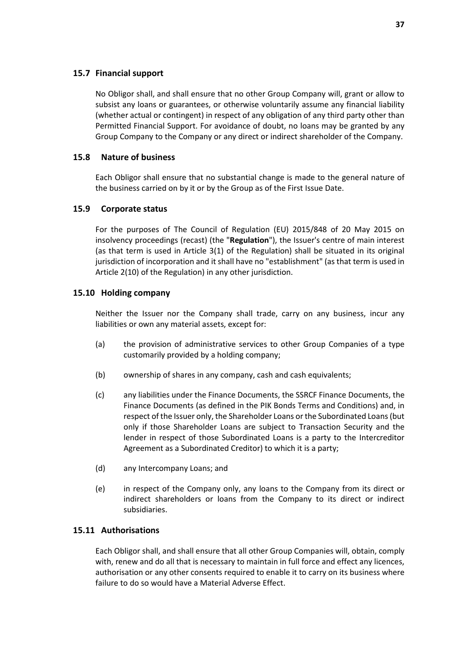#### **15.7 Financial support**

No Obligor shall, and shall ensure that no other Group Company will, grant or allow to subsist any loans or guarantees, or otherwise voluntarily assume any financial liability (whether actual or contingent) in respect of any obligation of any third party other than Permitted Financial Support. For avoidance of doubt, no loans may be granted by any Group Company to the Company or any direct or indirect shareholder of the Company.

#### **15.8 Nature of business**

Each Obligor shall ensure that no substantial change is made to the general nature of the business carried on by it or by the Group as of the First Issue Date.

#### **15.9 Corporate status**

For the purposes of The Council of Regulation (EU) 2015/848 of 20 May 2015 on insolvency proceedings (recast) (the "**Regulation**"), the Issuer's centre of main interest (as that term is used in Article 3(1) of the Regulation) shall be situated in its original jurisdiction of incorporation and it shall have no "establishment" (as that term is used in Article 2(10) of the Regulation) in any other jurisdiction.

#### <span id="page-38-0"></span>**15.10 Holding company**

Neither the Issuer nor the Company shall trade, carry on any business, incur any liabilities or own any material assets, except for:

- (a) the provision of administrative services to other Group Companies of a type customarily provided by a holding company;
- (b) ownership of shares in any company, cash and cash equivalents;
- (c) any liabilities under the Finance Documents, the SSRCF Finance Documents, the Finance Documents (as defined in the PIK Bonds Terms and Conditions) and, in respect of the Issuer only, the Shareholder Loans or the Subordinated Loans (but only if those Shareholder Loans are subject to Transaction Security and the lender in respect of those Subordinated Loans is a party to the Intercreditor Agreement as a Subordinated Creditor) to which it is a party;
- (d) any Intercompany Loans; and
- (e) in respect of the Company only, any loans to the Company from its direct or indirect shareholders or loans from the Company to its direct or indirect subsidiaries.

#### **15.11 Authorisations**

Each Obligor shall, and shall ensure that all other Group Companies will, obtain, comply with, renew and do all that is necessary to maintain in full force and effect any licences, authorisation or any other consents required to enable it to carry on its business where failure to do so would have a Material Adverse Effect.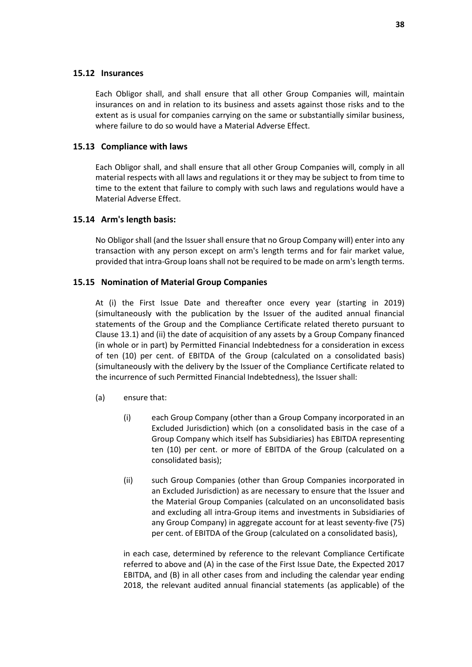#### **15.12 Insurances**

Each Obligor shall, and shall ensure that all other Group Companies will, maintain insurances on and in relation to its business and assets against those risks and to the extent as is usual for companies carrying on the same or substantially similar business, where failure to do so would have a Material Adverse Effect.

#### **15.13 Compliance with laws**

Each Obligor shall, and shall ensure that all other Group Companies will, comply in all material respects with all laws and regulations it or they may be subject to from time to time to the extent that failure to comply with such laws and regulations would have a Material Adverse Effect.

#### **15.14 Arm's length basis:**

No Obligor shall (and the Issuer shall ensure that no Group Company will) enter into any transaction with any person except on arm's length terms and for fair market value, provided that intra-Group loans shall not be required to be made on arm's length terms.

#### <span id="page-39-0"></span>**15.15 Nomination of Material Group Companies**

At (i) the First Issue Date and thereafter once every year (starting in 2019) (simultaneously with the publication by the Issuer of the audited annual financial statements of the Group and the Compliance Certificate related thereto pursuant to Clause [13.1\)](#page-31-1) and (ii) the date of acquisition of any assets by a Group Company financed (in whole or in part) by Permitted Financial Indebtedness for a consideration in excess of ten (10) per cent. of EBITDA of the Group (calculated on a consolidated basis) (simultaneously with the delivery by the Issuer of the Compliance Certificate related to the incurrence of such Permitted Financial Indebtedness), the Issuer shall:

- (a) ensure that:
	- (i) each Group Company (other than a Group Company incorporated in an Excluded Jurisdiction) which (on a consolidated basis in the case of a Group Company which itself has Subsidiaries) has EBITDA representing ten (10) per cent. or more of EBITDA of the Group (calculated on a consolidated basis);
	- (ii) such Group Companies (other than Group Companies incorporated in an Excluded Jurisdiction) as are necessary to ensure that the Issuer and the Material Group Companies (calculated on an unconsolidated basis and excluding all intra-Group items and investments in Subsidiaries of any Group Company) in aggregate account for at least seventy-five (75) per cent. of EBITDA of the Group (calculated on a consolidated basis),

in each case, determined by reference to the relevant Compliance Certificate referred to above and (A) in the case of the First Issue Date, the Expected 2017 EBITDA, and (B) in all other cases from and including the calendar year ending 2018, the relevant audited annual financial statements (as applicable) of the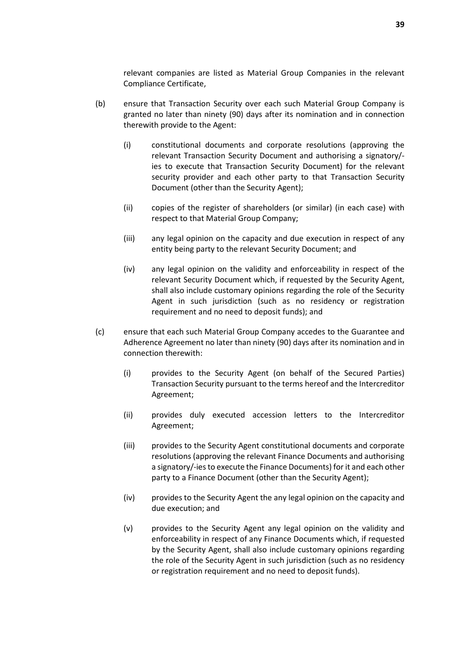relevant companies are listed as Material Group Companies in the relevant Compliance Certificate,

- (b) ensure that Transaction Security over each such Material Group Company is granted no later than ninety (90) days after its nomination and in connection therewith provide to the Agent:
	- (i) constitutional documents and corporate resolutions (approving the relevant Transaction Security Document and authorising a signatory/ ies to execute that Transaction Security Document) for the relevant security provider and each other party to that Transaction Security Document (other than the Security Agent);
	- (ii) copies of the register of shareholders (or similar) (in each case) with respect to that Material Group Company;
	- (iii) any legal opinion on the capacity and due execution in respect of any entity being party to the relevant Security Document; and
	- (iv) any legal opinion on the validity and enforceability in respect of the relevant Security Document which, if requested by the Security Agent, shall also include customary opinions regarding the role of the Security Agent in such jurisdiction (such as no residency or registration requirement and no need to deposit funds); and
- (c) ensure that each such Material Group Company accedes to the Guarantee and Adherence Agreement no later than ninety (90) days after its nomination and in connection therewith:
	- (i) provides to the Security Agent (on behalf of the Secured Parties) Transaction Security pursuant to the terms hereof and the Intercreditor Agreement;
	- (ii) provides duly executed accession letters to the Intercreditor Agreement;
	- (iii) provides to the Security Agent constitutional documents and corporate resolutions (approving the relevant Finance Documents and authorising a signatory/-ies to execute the Finance Documents) for it and each other party to a Finance Document (other than the Security Agent);
	- (iv) provides to the Security Agent the any legal opinion on the capacity and due execution; and
	- (v) provides to the Security Agent any legal opinion on the validity and enforceability in respect of any Finance Documents which, if requested by the Security Agent, shall also include customary opinions regarding the role of the Security Agent in such jurisdiction (such as no residency or registration requirement and no need to deposit funds).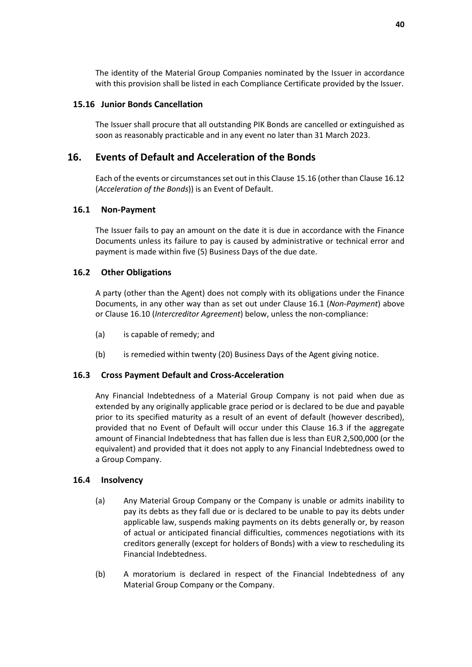The identity of the Material Group Companies nominated by the Issuer in accordance with this provision shall be listed in each Compliance Certificate provided by the Issuer.

#### <span id="page-41-2"></span>**15.16 Junior Bonds Cancellation**

The Issuer shall procure that all outstanding PIK Bonds are cancelled or extinguished as soon as reasonably practicable and in any event no later than 31 March 2023.

#### <span id="page-41-0"></span>**16. Events of Default and Acceleration of the Bonds**

Each of the events or circumstances set out in this Clause [15.16](#page-41-2) (other than Clause [16.12](#page-43-1) (*[Acceleration of the Bonds](#page-43-1)*)) is an Event of Default.

#### <span id="page-41-1"></span>**16.1 Non-Payment**

The Issuer fails to pay an amount on the date it is due in accordance with the Finance Documents unless its failure to pay is caused by administrative or technical error and payment is made within five (5) Business Days of the due date.

#### **16.2 Other Obligations**

A party (other than the Agent) does not comply with its obligations under the Finance Documents, in any other way than as set out under Clause [16.1](#page-41-1) (*[Non-Payment](#page-41-1)*) above or Clause [16.10 \(](#page-43-2)*[Intercreditor Agreement](#page-43-2)*) below, unless the non-compliance:

- (a) is capable of remedy; and
- (b) is remedied within twenty (20) Business Days of the Agent giving notice.

#### <span id="page-41-3"></span>**16.3 Cross Payment Default and Cross-Acceleration**

Any Financial Indebtedness of a Material Group Company is not paid when due as extended by any originally applicable grace period or is declared to be due and payable prior to its specified maturity as a result of an event of default (however described), provided that no Event of Default will occur under this Clause [16.3](#page-41-3) if the aggregate amount of Financial Indebtedness that has fallen due is less than EUR 2,500,000 (or the equivalent) and provided that it does not apply to any Financial Indebtedness owed to a Group Company.

#### **16.4 Insolvency**

- (a) Any Material Group Company or the Company is unable or admits inability to pay its debts as they fall due or is declared to be unable to pay its debts under applicable law, suspends making payments on its debts generally or, by reason of actual or anticipated financial difficulties, commences negotiations with its creditors generally (except for holders of Bonds) with a view to rescheduling its Financial Indebtedness.
- (b) A moratorium is declared in respect of the Financial Indebtedness of any Material Group Company or the Company.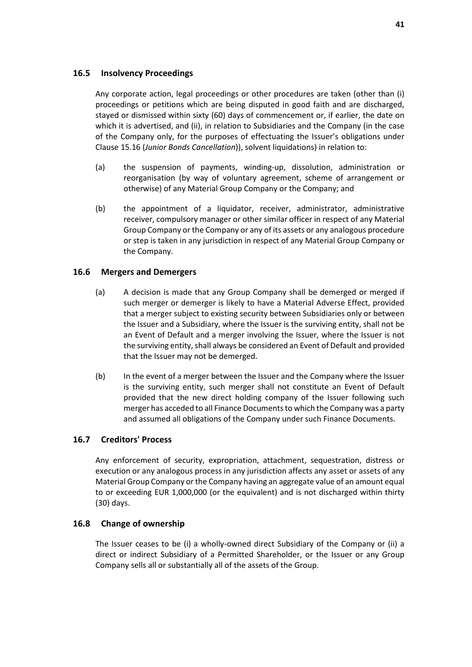#### **16.5 Insolvency Proceedings**

Any corporate action, legal proceedings or other procedures are taken (other than (i) proceedings or petitions which are being disputed in good faith and are discharged, stayed or dismissed within sixty (60) days of commencement or, if earlier, the date on which it is advertised, and (ii), in relation to Subsidiaries and the Company (in the case of the Company only, for the purposes of effectuating the Issuer's obligations under Clause 15.16 (*Junior Bonds Cancellation*)), solvent liquidations) in relation to:

- (a) the suspension of payments, winding-up, dissolution, administration or reorganisation (by way of voluntary agreement, scheme of arrangement or otherwise) of any Material Group Company or the Company; and
- (b) the appointment of a liquidator, receiver, administrator, administrative receiver, compulsory manager or other similar officer in respect of any Material Group Company or the Company or any of its assets or any analogous procedure or step is taken in any jurisdiction in respect of any Material Group Company or the Company.

#### **16.6 Mergers and Demergers**

- (a) A decision is made that any Group Company shall be demerged or merged if such merger or demerger is likely to have a Material Adverse Effect, provided that a merger subject to existing security between Subsidiaries only or between the Issuer and a Subsidiary, where the Issuer is the surviving entity, shall not be an Event of Default and a merger involving the Issuer, where the Issuer is not the surviving entity, shall always be considered an Event of Default and provided that the Issuer may not be demerged.
- (b) In the event of a merger between the Issuer and the Company where the Issuer is the surviving entity, such merger shall not constitute an Event of Default provided that the new direct holding company of the Issuer following such merger has acceded to all Finance Documents to which the Company was a party and assumed all obligations of the Company under such Finance Documents.

#### **16.7 Creditors' Process**

Any enforcement of security, expropriation, attachment, sequestration, distress or execution or any analogous process in any jurisdiction affects any asset or assets of any Material Group Company or the Company having an aggregate value of an amount equal to or exceeding EUR 1,000,000 (or the equivalent) and is not discharged within thirty (30) days.

#### **16.8 Change of ownership**

The Issuer ceases to be (i) a wholly-owned direct Subsidiary of the Company or (ii) a direct or indirect Subsidiary of a Permitted Shareholder, or the Issuer or any Group Company sells all or substantially all of the assets of the Group.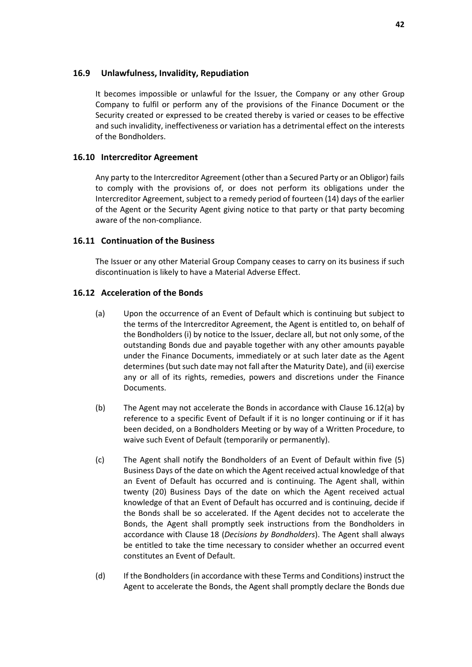#### **16.9 Unlawfulness, Invalidity, Repudiation**

It becomes impossible or unlawful for the Issuer, the Company or any other Group Company to fulfil or perform any of the provisions of the Finance Document or the Security created or expressed to be created thereby is varied or ceases to be effective and such invalidity, ineffectiveness or variation has a detrimental effect on the interests of the Bondholders.

#### <span id="page-43-2"></span>**16.10 Intercreditor Agreement**

Any party to the Intercreditor Agreement (other than a Secured Party or an Obligor) fails to comply with the provisions of, or does not perform its obligations under the Intercreditor Agreement, subject to a remedy period of fourteen (14) days of the earlier of the Agent or the Security Agent giving notice to that party or that party becoming aware of the non-compliance.

#### <span id="page-43-0"></span>**16.11 Continuation of the Business**

The Issuer or any other Material Group Company ceases to carry on its business if such discontinuation is likely to have a Material Adverse Effect.

#### <span id="page-43-1"></span>**16.12 Acceleration of the Bonds**

- (a) Upon the occurrence of an Event of Default which is continuing but subject to the terms of the Intercreditor Agreement, the Agent is entitled to, on behalf of the Bondholders (i) by notice to the Issuer, declare all, but not only some, of the outstanding Bonds due and payable together with any other amounts payable under the Finance Documents, immediately or at such later date as the Agent determines (but such date may not fall after the Maturity Date), and (ii) exercise any or all of its rights, remedies, powers and discretions under the Finance Documents.
- (b) The Agent may not accelerate the Bonds in accordance with Clause [16.12\(a\)](#page-43-1) by reference to a specific Event of Default if it is no longer continuing or if it has been decided, on a Bondholders Meeting or by way of a Written Procedure, to waive such Event of Default (temporarily or permanently).
- (c) The Agent shall notify the Bondholders of an Event of Default within five (5) Business Days of the date on which the Agent received actual knowledge of that an Event of Default has occurred and is continuing. The Agent shall, within twenty (20) Business Days of the date on which the Agent received actual knowledge of that an Event of Default has occurred and is continuing, decide if the Bonds shall be so accelerated. If the Agent decides not to accelerate the Bonds, the Agent shall promptly seek instructions from the Bondholders in accordance with Clause [18](#page-44-1) (*[Decisions by Bondholders](#page-44-1)*). The Agent shall always be entitled to take the time necessary to consider whether an occurred event constitutes an Event of Default.
- (d) If the Bondholders (in accordance with these Terms and Conditions) instruct the Agent to accelerate the Bonds, the Agent shall promptly declare the Bonds due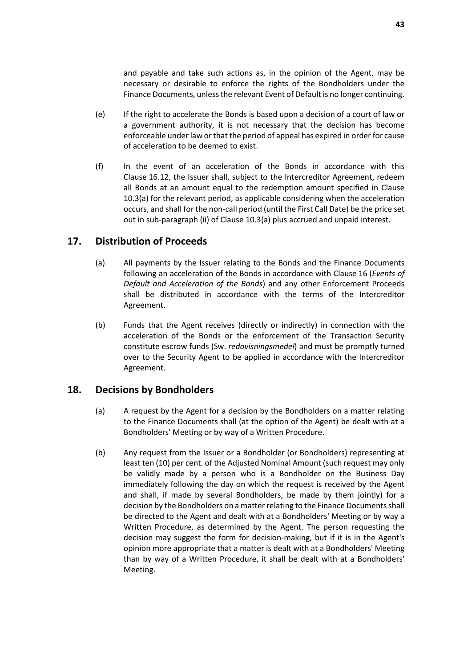and payable and take such actions as, in the opinion of the Agent, may be necessary or desirable to enforce the rights of the Bondholders under the Finance Documents, unless the relevant Event of Default is no longer continuing.

- (e) If the right to accelerate the Bonds is based upon a decision of a court of law or a government authority, it is not necessary that the decision has become enforceable under law or that the period of appeal has expired in order for cause of acceleration to be deemed to exist.
- (f) In the event of an acceleration of the Bonds in accordance with this Claus[e 16.12,](#page-43-1) the Issuer shall, subject to the Intercreditor Agreement, redeem all Bonds at an amount equal to the redemption amount specified in Clause [10.3\(a\) f](#page-26-6)or the relevant period, as applicable considering when the acceleration occurs, and shall for the non-call period (until the First Call Date) be the price set out in sub-paragraph (ii) of Clause [10.3\(a\)](#page-26-6) plus accrued and unpaid interest.

## <span id="page-44-0"></span>**17. Distribution of Proceeds**

- (a) All payments by the Issuer relating to the Bonds and the Finance Documents following an acceleration of the Bonds in accordance with Clause [16](#page-41-0) (*[Events of](#page-41-0)  [Default and Acceleration of the Bonds](#page-41-0)*) and any other Enforcement Proceeds shall be distributed in accordance with the terms of the Intercreditor Agreement.
- (b) Funds that the Agent receives (directly or indirectly) in connection with the acceleration of the Bonds or the enforcement of the Transaction Security constitute escrow funds (Sw. *redovisningsmedel*) and must be promptly turned over to the Security Agent to be applied in accordance with the Intercreditor Agreement.

#### <span id="page-44-1"></span>**18. Decisions by Bondholders**

- (a) A request by the Agent for a decision by the Bondholders on a matter relating to the Finance Documents shall (at the option of the Agent) be dealt with at a Bondholders' Meeting or by way of a Written Procedure.
- (b) Any request from the Issuer or a Bondholder (or Bondholders) representing at least ten (10) per cent. of the Adjusted Nominal Amount (such request may only be validly made by a person who is a Bondholder on the Business Day immediately following the day on which the request is received by the Agent and shall, if made by several Bondholders, be made by them jointly) for a decision by the Bondholders on a matter relating to the Finance Documents shall be directed to the Agent and dealt with at a Bondholders' Meeting or by way a Written Procedure, as determined by the Agent. The person requesting the decision may suggest the form for decision-making, but if it is in the Agent's opinion more appropriate that a matter is dealt with at a Bondholders' Meeting than by way of a Written Procedure, it shall be dealt with at a Bondholders' Meeting.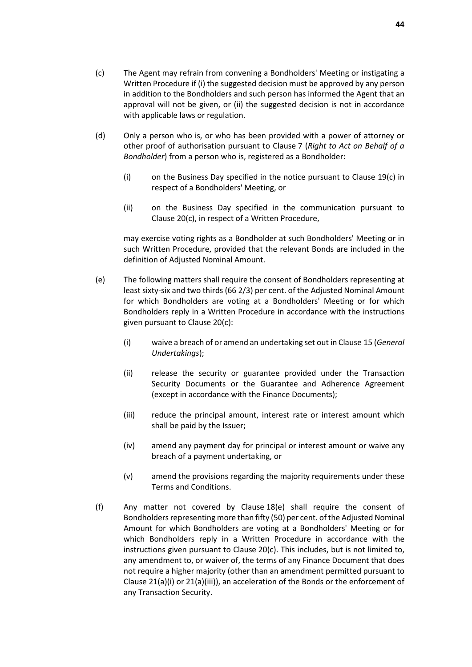- (c) The Agent may refrain from convening a Bondholders' Meeting or instigating a Written Procedure if (i) the suggested decision must be approved by any person in addition to the Bondholders and such person has informed the Agent that an approval will not be given, or (ii) the suggested decision is not in accordance with applicable laws or regulation.
- (d) Only a person who is, or who has been provided with a power of attorney or other proof of authorisation pursuant to Clause [7](#page-25-0) (*[Right to Act on Behalf of a](#page-25-0)  [Bondholder](#page-25-0)*) from a person who is, registered as a Bondholder:
	- (i) on the Business Day specified in the notice pursuant to Clause [19\(c\)](#page-47-0) in respect of a Bondholders' Meeting, or
	- (ii) on the Business Day specified in the communication pursuant to Clause [20\(c\),](#page-48-0) in respect of a Written Procedure,

may exercise voting rights as a Bondholder at such Bondholders' Meeting or in such Written Procedure, provided that the relevant Bonds are included in the definition of Adjusted Nominal Amount.

- (e) The following matters shall require the consent of Bondholders representing at least sixty-six and two thirds (66 2/3) per cent. of the Adjusted Nominal Amount for which Bondholders are voting at a Bondholders' Meeting or for which Bondholders reply in a Written Procedure in accordance with the instructions given pursuant to Claus[e 20\(c\):](#page-48-0)
	- (i) waive a breach of or amend an undertaking set out in Clause [15 \(](#page-34-0)*[General](#page-34-0)  [Undertakings](#page-34-0)*);
	- (ii) release the security or guarantee provided under the Transaction Security Documents or the Guarantee and Adherence Agreement (except in accordance with the Finance Documents);
	- (iii) reduce the principal amount, interest rate or interest amount which shall be paid by the Issuer;
	- (iv) amend any payment day for principal or interest amount or waive any breach of a payment undertaking, or
	- (v) amend the provisions regarding the majority requirements under these Terms and Conditions.
- (f) Any matter not covered by Clause [18\(e\)](#page-44-1) shall require the consent of Bondholders representing more than fifty (50) per cent. of the Adjusted Nominal Amount for which Bondholders are voting at a Bondholders' Meeting or for which Bondholders reply in a Written Procedure in accordance with the instructions given pursuant to Clause [20\(c\).](#page-48-0) This includes, but is not limited to, any amendment to, or waiver of, the terms of any Finance Document that does not require a higher majority (other than an amendment permitted pursuant to Claus[e 21\(a\)](#page-48-1)[\(i\)](#page-48-2) o[r 21\(a\)](#page-48-1)[\(iii\)\)](#page-48-3), an acceleration of the Bonds or the enforcement of any Transaction Security.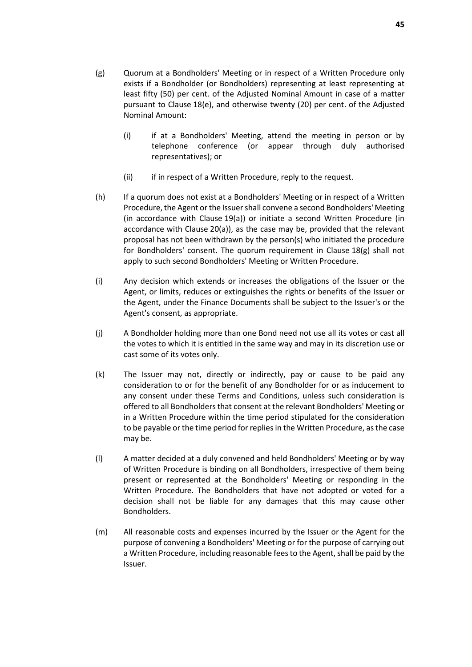- (g) Quorum at a Bondholders' Meeting or in respect of a Written Procedure only exists if a Bondholder (or Bondholders) representing at least representing at least fifty (50) per cent. of the Adjusted Nominal Amount in case of a matter pursuant to Claus[e 18\(e\),](#page-44-1) and otherwise twenty (20) per cent. of the Adjusted Nominal Amount:
	- (i) if at a Bondholders' Meeting, attend the meeting in person or by telephone conference (or appear through duly authorised representatives); or
	- (ii) if in respect of a Written Procedure, reply to the request.
- (h) If a quorum does not exist at a Bondholders' Meeting or in respect of a Written Procedure, the Agent or the Issuer shall convene a second Bondholders' Meeting (in accordance with Clause [19\(a\)\)](#page-47-0) or initiate a second Written Procedure (in accordance with Clause [20\(a\)\)](#page-48-0), as the case may be, provided that the relevant proposal has not been withdrawn by the person(s) who initiated the procedure for Bondholders' consent. The quorum requirement in Claus[e 18\(g\)](#page-44-1) shall not apply to such second Bondholders' Meeting or Written Procedure.
- (i) Any decision which extends or increases the obligations of the Issuer or the Agent, or limits, reduces or extinguishes the rights or benefits of the Issuer or the Agent, under the Finance Documents shall be subject to the Issuer's or the Agent's consent, as appropriate.
- (j) A Bondholder holding more than one Bond need not use all its votes or cast all the votes to which it is entitled in the same way and may in its discretion use or cast some of its votes only.
- (k) The Issuer may not, directly or indirectly, pay or cause to be paid any consideration to or for the benefit of any Bondholder for or as inducement to any consent under these Terms and Conditions, unless such consideration is offered to all Bondholders that consent at the relevant Bondholders' Meeting or in a Written Procedure within the time period stipulated for the consideration to be payable or the time period for replies in the Written Procedure, as the case may be.
- (l) A matter decided at a duly convened and held Bondholders' Meeting or by way of Written Procedure is binding on all Bondholders, irrespective of them being present or represented at the Bondholders' Meeting or responding in the Written Procedure. The Bondholders that have not adopted or voted for a decision shall not be liable for any damages that this may cause other Bondholders.
- (m) All reasonable costs and expenses incurred by the Issuer or the Agent for the purpose of convening a Bondholders' Meeting or for the purpose of carrying out a Written Procedure, including reasonable fees to the Agent, shall be paid by the Issuer.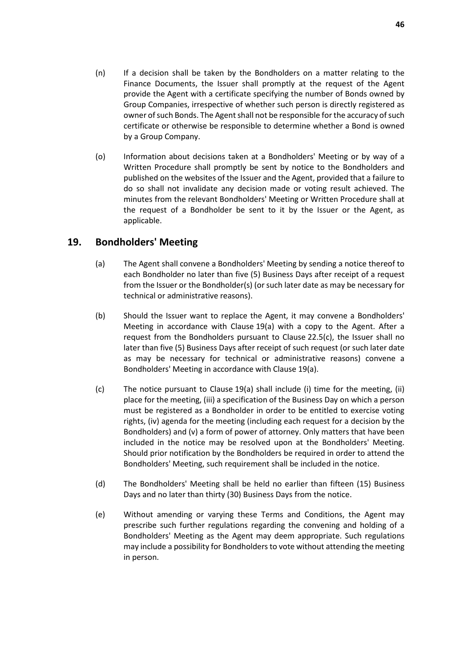- (n) If a decision shall be taken by the Bondholders on a matter relating to the Finance Documents, the Issuer shall promptly at the request of the Agent provide the Agent with a certificate specifying the number of Bonds owned by Group Companies, irrespective of whether such person is directly registered as owner of such Bonds. The Agent shall not be responsible for the accuracy of such certificate or otherwise be responsible to determine whether a Bond is owned by a Group Company.
- (o) Information about decisions taken at a Bondholders' Meeting or by way of a Written Procedure shall promptly be sent by notice to the Bondholders and published on the websites of the Issuer and the Agent, provided that a failure to do so shall not invalidate any decision made or voting result achieved. The minutes from the relevant Bondholders' Meeting or Written Procedure shall at the request of a Bondholder be sent to it by the Issuer or the Agent, as applicable.

#### <span id="page-47-0"></span>**19. Bondholders' Meeting**

- (a) The Agent shall convene a Bondholders' Meeting by sending a notice thereof to each Bondholder no later than five (5) Business Days after receipt of a request from the Issuer or the Bondholder(s) (or such later date as may be necessary for technical or administrative reasons).
- (b) Should the Issuer want to replace the Agent, it may convene a Bondholders' Meeting in accordance with Claus[e 19\(a\)](#page-47-0) with a copy to the Agent. After a request from the Bondholders pursuant to Clause [22.5\(c\),](#page-52-0) the Issuer shall no later than five (5) Business Days after receipt of such request (or such later date as may be necessary for technical or administrative reasons) convene a Bondholders' Meeting in accordance with Clause [19\(a\).](#page-47-0)
- (c) The notice pursuant to Clause [19\(a\)](#page-47-0) shall include (i) time for the meeting, (ii) place for the meeting, (iii) a specification of the Business Day on which a person must be registered as a Bondholder in order to be entitled to exercise voting rights, (iv) agenda for the meeting (including each request for a decision by the Bondholders) and (v) a form of power of attorney. Only matters that have been included in the notice may be resolved upon at the Bondholders' Meeting. Should prior notification by the Bondholders be required in order to attend the Bondholders' Meeting, such requirement shall be included in the notice.
- (d) The Bondholders' Meeting shall be held no earlier than fifteen (15) Business Days and no later than thirty (30) Business Days from the notice.
- (e) Without amending or varying these Terms and Conditions, the Agent may prescribe such further regulations regarding the convening and holding of a Bondholders' Meeting as the Agent may deem appropriate. Such regulations may include a possibility for Bondholders to vote without attending the meeting in person.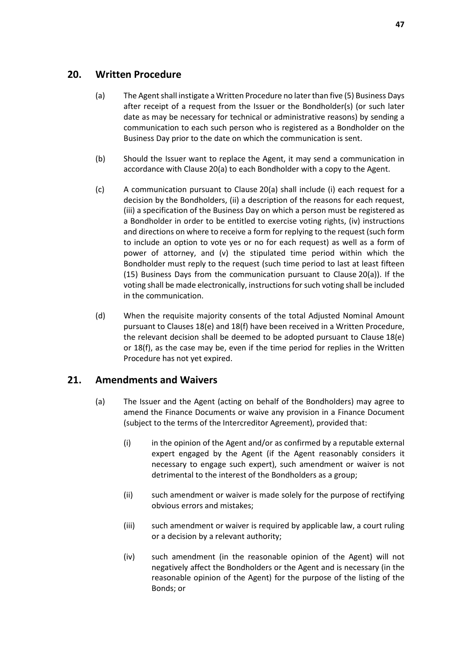## <span id="page-48-0"></span>**20. Written Procedure**

- (a) The Agent shall instigate a Written Procedure no later than five (5) Business Days after receipt of a request from the Issuer or the Bondholder(s) (or such later date as may be necessary for technical or administrative reasons) by sending a communication to each such person who is registered as a Bondholder on the Business Day prior to the date on which the communication is sent.
- (b) Should the Issuer want to replace the Agent, it may send a communication in accordance with Claus[e 20\(a\)](#page-48-0) to each Bondholder with a copy to the Agent.
- (c) A communication pursuant to Claus[e 20\(a\)](#page-48-0) shall include (i) each request for a decision by the Bondholders, (ii) a description of the reasons for each request, (iii) a specification of the Business Day on which a person must be registered as a Bondholder in order to be entitled to exercise voting rights, (iv) instructions and directions on where to receive a form for replying to the request (such form to include an option to vote yes or no for each request) as well as a form of power of attorney, and (v) the stipulated time period within which the Bondholder must reply to the request (such time period to last at least fifteen (15) Business Days from the communication pursuant to Clause [20\(a\)\)](#page-48-0). If the voting shall be made electronically, instructions for such voting shall be included in the communication.
- (d) When the requisite majority consents of the total Adjusted Nominal Amount pursuant to Clause[s 18\(e\)](#page-44-1) and [18\(f\)](#page-44-1) have been received in a Written Procedure, the relevant decision shall be deemed to be adopted pursuant to Clause [18\(e\)](#page-44-1) or [18\(f\),](#page-44-1) as the case may be, even if the time period for replies in the Written Procedure has not yet expired.

## <span id="page-48-1"></span>**21. Amendments and Waivers**

- <span id="page-48-3"></span><span id="page-48-2"></span>(a) The Issuer and the Agent (acting on behalf of the Bondholders) may agree to amend the Finance Documents or waive any provision in a Finance Document (subject to the terms of the Intercreditor Agreement), provided that:
	- (i) in the opinion of the Agent and/or as confirmed by a reputable external expert engaged by the Agent (if the Agent reasonably considers it necessary to engage such expert), such amendment or waiver is not detrimental to the interest of the Bondholders as a group;
	- (ii) such amendment or waiver is made solely for the purpose of rectifying obvious errors and mistakes;
	- (iii) such amendment or waiver is required by applicable law, a court ruling or a decision by a relevant authority;
	- (iv) such amendment (in the reasonable opinion of the Agent) will not negatively affect the Bondholders or the Agent and is necessary (in the reasonable opinion of the Agent) for the purpose of the listing of the Bonds; or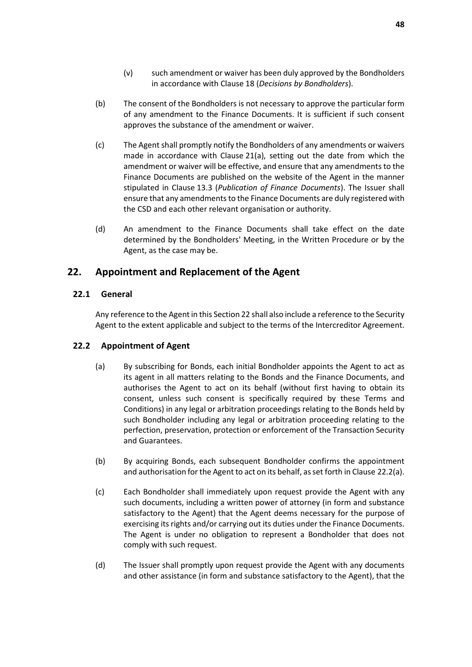- (v) such amendment or waiver has been duly approved by the Bondholders in accordance with Clause [18](#page-44-1) (*[Decisions by Bondholders](#page-44-1)*).
- (b) The consent of the Bondholders is not necessary to approve the particular form of any amendment to the Finance Documents. It is sufficient if such consent approves the substance of the amendment or waiver.
- (c) The Agent shall promptly notify the Bondholders of any amendments or waivers made in accordance with Claus[e 21\(a\),](#page-48-1) setting out the date from which the amendment or waiver will be effective, and ensure that any amendments to the Finance Documents are published on the website of the Agent in the manner stipulated in Clause [13.3](#page-32-1) (*[Publication of Finance Documents](#page-32-1)*). The Issuer shall ensure that any amendments to the Finance Documents are duly registered with the CSD and each other relevant organisation or authority.
- (d) An amendment to the Finance Documents shall take effect on the date determined by the Bondholders' Meeting, in the Written Procedure or by the Agent, as the case may be.

## <span id="page-49-0"></span>**22. Appointment and Replacement of the Agent**

#### **22.1 General**

Any reference to the Agent in this Sectio[n 22 s](#page-49-0)hall also include a reference to the Security Agent to the extent applicable and subject to the terms of the Intercreditor Agreement.

#### <span id="page-49-1"></span>**22.2 Appointment of Agent**

- (a) By subscribing for Bonds, each initial Bondholder appoints the Agent to act as its agent in all matters relating to the Bonds and the Finance Documents, and authorises the Agent to act on its behalf (without first having to obtain its consent, unless such consent is specifically required by these Terms and Conditions) in any legal or arbitration proceedings relating to the Bonds held by such Bondholder including any legal or arbitration proceeding relating to the perfection, preservation, protection or enforcement of the Transaction Security and Guarantees.
- (b) By acquiring Bonds, each subsequent Bondholder confirms the appointment and authorisation for the Agent to act on its behalf, as set forth in Clause [22.2\(a\).](#page-49-1)
- (c) Each Bondholder shall immediately upon request provide the Agent with any such documents, including a written power of attorney (in form and substance satisfactory to the Agent) that the Agent deems necessary for the purpose of exercising its rights and/or carrying out its duties under the Finance Documents. The Agent is under no obligation to represent a Bondholder that does not comply with such request.
- (d) The Issuer shall promptly upon request provide the Agent with any documents and other assistance (in form and substance satisfactory to the Agent), that the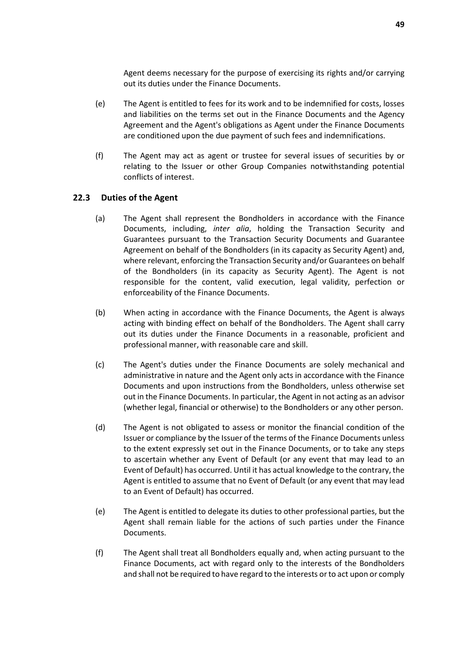Agent deems necessary for the purpose of exercising its rights and/or carrying out its duties under the Finance Documents.

- (e) The Agent is entitled to fees for its work and to be indemnified for costs, losses and liabilities on the terms set out in the Finance Documents and the Agency Agreement and the Agent's obligations as Agent under the Finance Documents are conditioned upon the due payment of such fees and indemnifications.
- (f) The Agent may act as agent or trustee for several issues of securities by or relating to the Issuer or other Group Companies notwithstanding potential conflicts of interest.

#### <span id="page-50-0"></span>**22.3 Duties of the Agent**

- (a) The Agent shall represent the Bondholders in accordance with the Finance Documents, including, *inter alia*, holding the Transaction Security and Guarantees pursuant to the Transaction Security Documents and Guarantee Agreement on behalf of the Bondholders (in its capacity as Security Agent) and, where relevant, enforcing the Transaction Security and/or Guarantees on behalf of the Bondholders (in its capacity as Security Agent). The Agent is not responsible for the content, valid execution, legal validity, perfection or enforceability of the Finance Documents.
- (b) When acting in accordance with the Finance Documents, the Agent is always acting with binding effect on behalf of the Bondholders. The Agent shall carry out its duties under the Finance Documents in a reasonable, proficient and professional manner, with reasonable care and skill.
- (c) The Agent's duties under the Finance Documents are solely mechanical and administrative in nature and the Agent only acts in accordance with the Finance Documents and upon instructions from the Bondholders, unless otherwise set out in the Finance Documents. In particular, the Agent in not acting as an advisor (whether legal, financial or otherwise) to the Bondholders or any other person.
- (d) The Agent is not obligated to assess or monitor the financial condition of the Issuer or compliance by the Issuer of the terms of the Finance Documents unless to the extent expressly set out in the Finance Documents, or to take any steps to ascertain whether any Event of Default (or any event that may lead to an Event of Default) has occurred. Until it has actual knowledge to the contrary, the Agent is entitled to assume that no Event of Default (or any event that may lead to an Event of Default) has occurred.
- (e) The Agent is entitled to delegate its duties to other professional parties, but the Agent shall remain liable for the actions of such parties under the Finance Documents.
- (f) The Agent shall treat all Bondholders equally and, when acting pursuant to the Finance Documents, act with regard only to the interests of the Bondholders and shall not be required to have regard to the interests or to act upon or comply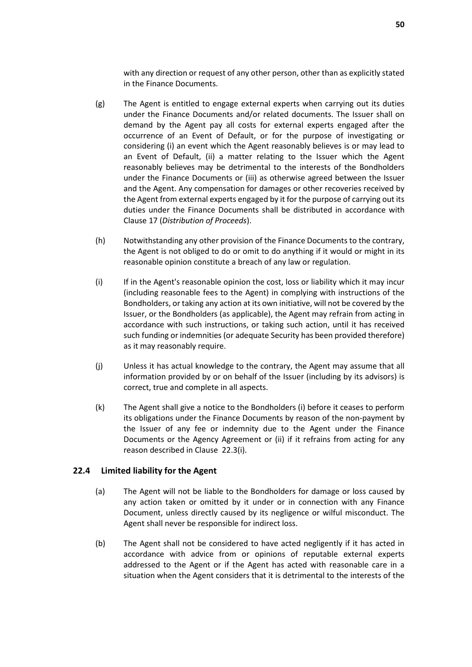with any direction or request of any other person, other than as explicitly stated in the Finance Documents.

- (g) The Agent is entitled to engage external experts when carrying out its duties under the Finance Documents and/or related documents. The Issuer shall on demand by the Agent pay all costs for external experts engaged after the occurrence of an Event of Default, or for the purpose of investigating or considering (i) an event which the Agent reasonably believes is or may lead to an Event of Default, (ii) a matter relating to the Issuer which the Agent reasonably believes may be detrimental to the interests of the Bondholders under the Finance Documents or (iii) as otherwise agreed between the Issuer and the Agent. Any compensation for damages or other recoveries received by the Agent from external experts engaged by it for the purpose of carrying out its duties under the Finance Documents shall be distributed in accordance with Claus[e 17](#page-44-0) (*[Distribution of Proceeds](#page-44-0)*).
- (h) Notwithstanding any other provision of the Finance Documents to the contrary, the Agent is not obliged to do or omit to do anything if it would or might in its reasonable opinion constitute a breach of any law or regulation.
- (i) If in the Agent's reasonable opinion the cost, loss or liability which it may incur (including reasonable fees to the Agent) in complying with instructions of the Bondholders, or taking any action at its own initiative, will not be covered by the Issuer, or the Bondholders (as applicable), the Agent may refrain from acting in accordance with such instructions, or taking such action, until it has received such funding or indemnities (or adequate Security has been provided therefore) as it may reasonably require.
- (j) Unless it has actual knowledge to the contrary, the Agent may assume that all information provided by or on behalf of the Issuer (including by its advisors) is correct, true and complete in all aspects.
- (k) The Agent shall give a notice to the Bondholders (i) before it ceases to perform its obligations under the Finance Documents by reason of the non-payment by the Issuer of any fee or indemnity due to the Agent under the Finance Documents or the Agency Agreement or (ii) if it refrains from acting for any reason described in Clause [22.3\(i\).](#page-50-0)

#### **22.4 Limited liability for the Agent**

- (a) The Agent will not be liable to the Bondholders for damage or loss caused by any action taken or omitted by it under or in connection with any Finance Document, unless directly caused by its negligence or wilful misconduct. The Agent shall never be responsible for indirect loss.
- (b) The Agent shall not be considered to have acted negligently if it has acted in accordance with advice from or opinions of reputable external experts addressed to the Agent or if the Agent has acted with reasonable care in a situation when the Agent considers that it is detrimental to the interests of the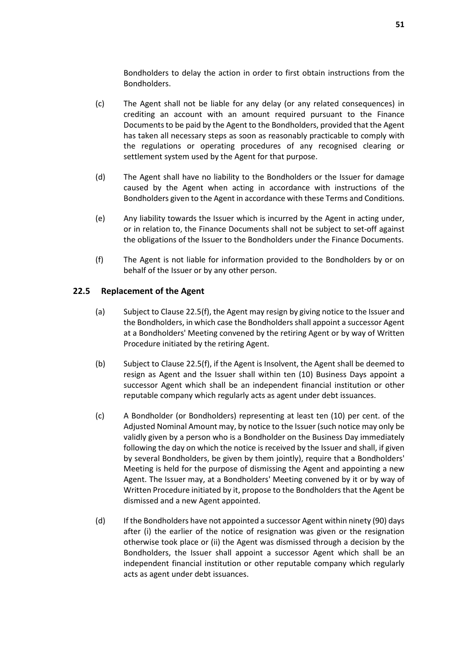Bondholders to delay the action in order to first obtain instructions from the Bondholders.

- (c) The Agent shall not be liable for any delay (or any related consequences) in crediting an account with an amount required pursuant to the Finance Documents to be paid by the Agent to the Bondholders, provided that the Agent has taken all necessary steps as soon as reasonably practicable to comply with the regulations or operating procedures of any recognised clearing or settlement system used by the Agent for that purpose.
- (d) The Agent shall have no liability to the Bondholders or the Issuer for damage caused by the Agent when acting in accordance with instructions of the Bondholders given to the Agent in accordance with these Terms and Conditions.
- (e) Any liability towards the Issuer which is incurred by the Agent in acting under, or in relation to, the Finance Documents shall not be subject to set-off against the obligations of the Issuer to the Bondholders under the Finance Documents.
- (f) The Agent is not liable for information provided to the Bondholders by or on behalf of the Issuer or by any other person.

#### <span id="page-52-0"></span>**22.5 Replacement of the Agent**

- (a) Subject to Claus[e 22.5\(f\),](#page-52-0) the Agent may resign by giving notice to the Issuer and the Bondholders, in which case the Bondholders shall appoint a successor Agent at a Bondholders' Meeting convened by the retiring Agent or by way of Written Procedure initiated by the retiring Agent.
- (b) Subject to Clause [22.5\(f\),](#page-52-0) if the Agent is Insolvent, the Agent shall be deemed to resign as Agent and the Issuer shall within ten (10) Business Days appoint a successor Agent which shall be an independent financial institution or other reputable company which regularly acts as agent under debt issuances.
- (c) A Bondholder (or Bondholders) representing at least ten (10) per cent. of the Adjusted Nominal Amount may, by notice to the Issuer (such notice may only be validly given by a person who is a Bondholder on the Business Day immediately following the day on which the notice is received by the Issuer and shall, if given by several Bondholders, be given by them jointly), require that a Bondholders' Meeting is held for the purpose of dismissing the Agent and appointing a new Agent. The Issuer may, at a Bondholders' Meeting convened by it or by way of Written Procedure initiated by it, propose to the Bondholders that the Agent be dismissed and a new Agent appointed.
- (d) If the Bondholders have not appointed a successor Agent within ninety (90) days after (i) the earlier of the notice of resignation was given or the resignation otherwise took place or (ii) the Agent was dismissed through a decision by the Bondholders, the Issuer shall appoint a successor Agent which shall be an independent financial institution or other reputable company which regularly acts as agent under debt issuances.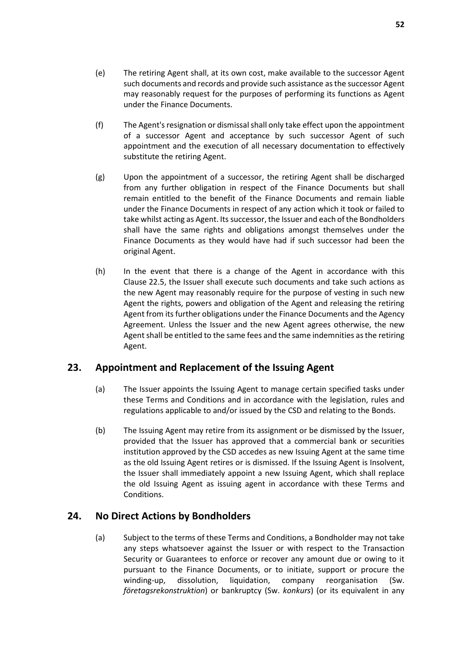- (e) The retiring Agent shall, at its own cost, make available to the successor Agent such documents and records and provide such assistance as the successor Agent may reasonably request for the purposes of performing its functions as Agent under the Finance Documents.
- (f) The Agent's resignation or dismissal shall only take effect upon the appointment of a successor Agent and acceptance by such successor Agent of such appointment and the execution of all necessary documentation to effectively substitute the retiring Agent.
- (g) Upon the appointment of a successor, the retiring Agent shall be discharged from any further obligation in respect of the Finance Documents but shall remain entitled to the benefit of the Finance Documents and remain liable under the Finance Documents in respect of any action which it took or failed to take whilst acting as Agent. Its successor, the Issuer and each of the Bondholders shall have the same rights and obligations amongst themselves under the Finance Documents as they would have had if such successor had been the original Agent.
- (h) In the event that there is a change of the Agent in accordance with this Claus[e 22.5,](#page-52-0) the Issuer shall execute such documents and take such actions as the new Agent may reasonably require for the purpose of vesting in such new Agent the rights, powers and obligation of the Agent and releasing the retiring Agent from its further obligations under the Finance Documents and the Agency Agreement. Unless the Issuer and the new Agent agrees otherwise, the new Agent shall be entitled to the same fees and the same indemnities as the retiring Agent.

## <span id="page-53-0"></span>**23. Appointment and Replacement of the Issuing Agent**

- (a) The Issuer appoints the Issuing Agent to manage certain specified tasks under these Terms and Conditions and in accordance with the legislation, rules and regulations applicable to and/or issued by the CSD and relating to the Bonds.
- (b) The Issuing Agent may retire from its assignment or be dismissed by the Issuer, provided that the Issuer has approved that a commercial bank or securities institution approved by the CSD accedes as new Issuing Agent at the same time as the old Issuing Agent retires or is dismissed. If the Issuing Agent is Insolvent, the Issuer shall immediately appoint a new Issuing Agent, which shall replace the old Issuing Agent as issuing agent in accordance with these Terms and Conditions.

## <span id="page-53-1"></span>**24. No Direct Actions by Bondholders**

(a) Subject to the terms of these Terms and Conditions, a Bondholder may not take any steps whatsoever against the Issuer or with respect to the Transaction Security or Guarantees to enforce or recover any amount due or owing to it pursuant to the Finance Documents, or to initiate, support or procure the winding-up, dissolution, liquidation, company reorganisation (Sw. *företagsrekonstruktion*) or bankruptcy (Sw. *konkurs*) (or its equivalent in any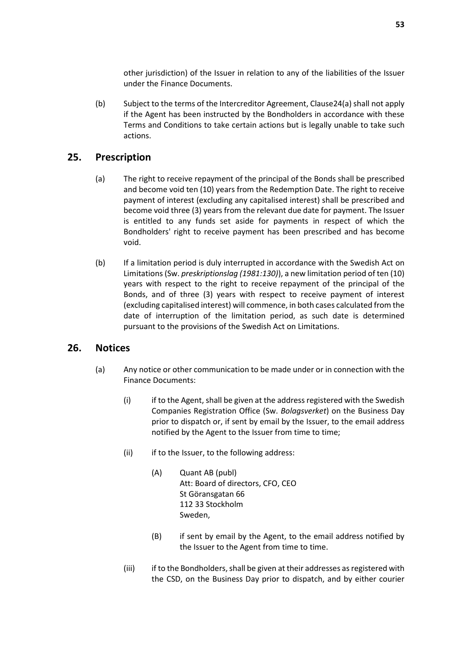other jurisdiction) of the Issuer in relation to any of the liabilities of the Issuer under the Finance Documents.

(b) Subject to the terms of the Intercreditor Agreement, Claus[e24\(a\) s](#page-53-1)hall not apply if the Agent has been instructed by the Bondholders in accordance with these Terms and Conditions to take certain actions but is legally unable to take such actions.

#### <span id="page-54-0"></span>**25. Prescription**

- (a) The right to receive repayment of the principal of the Bonds shall be prescribed and become void ten (10) years from the Redemption Date. The right to receive payment of interest (excluding any capitalised interest) shall be prescribed and become void three (3) years from the relevant due date for payment. The Issuer is entitled to any funds set aside for payments in respect of which the Bondholders' right to receive payment has been prescribed and has become void.
- (b) If a limitation period is duly interrupted in accordance with the Swedish Act on Limitations (Sw. *preskriptionslag (1981:130)*), a new limitation period of ten (10) years with respect to the right to receive repayment of the principal of the Bonds, and of three (3) years with respect to receive payment of interest (excluding capitalised interest) will commence, in both cases calculated from the date of interruption of the limitation period, as such date is determined pursuant to the provisions of the Swedish Act on Limitations.

#### <span id="page-54-2"></span><span id="page-54-1"></span>**26. Notices**

- (a) Any notice or other communication to be made under or in connection with the Finance Documents:
	- (i) if to the Agent, shall be given at the address registered with the Swedish Companies Registration Office (Sw. *Bolagsverket*) on the Business Day prior to dispatch or, if sent by email by the Issuer, to the email address notified by the Agent to the Issuer from time to time;
	- (ii) if to the Issuer, to the following address:
		- (A) Quant AB (publ) Att: Board of directors, CFO, CEO St Göransgatan 66 112 33 Stockholm Sweden,
		- (B) if sent by email by the Agent, to the email address notified by the Issuer to the Agent from time to time.
	- (iii) if to the Bondholders, shall be given at their addresses as registered with the CSD, on the Business Day prior to dispatch, and by either courier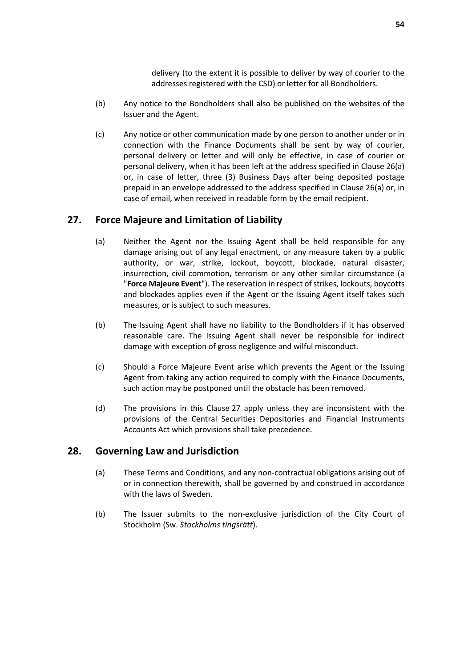delivery (to the extent it is possible to deliver by way of courier to the addresses registered with the CSD) or letter for all Bondholders.

- (b) Any notice to the Bondholders shall also be published on the websites of the Issuer and the Agent.
- (c) Any notice or other communication made by one person to another under or in connection with the Finance Documents shall be sent by way of courier, personal delivery or letter and will only be effective, in case of courier or personal delivery, when it has been left at the address specified in Clause [26\(a\)](#page-54-2) or, in case of letter, three (3) Business Days after being deposited postage prepaid in an envelope addressed to the address specified in Clause [26\(a\)](#page-54-2) or, in case of email, when received in readable form by the email recipient.

## <span id="page-55-2"></span><span id="page-55-0"></span>**27. Force Majeure and Limitation of Liability**

- (a) Neither the Agent nor the Issuing Agent shall be held responsible for any damage arising out of any legal enactment, or any measure taken by a public authority, or war, strike, lockout, boycott, blockade, natural disaster, insurrection, civil commotion, terrorism or any other similar circumstance (a "**Force Majeure Event**"). The reservation in respect of strikes, lockouts, boycotts and blockades applies even if the Agent or the Issuing Agent itself takes such measures, or is subject to such measures.
- (b) The Issuing Agent shall have no liability to the Bondholders if it has observed reasonable care. The Issuing Agent shall never be responsible for indirect damage with exception of gross negligence and wilful misconduct.
- (c) Should a Force Majeure Event arise which prevents the Agent or the Issuing Agent from taking any action required to comply with the Finance Documents, such action may be postponed until the obstacle has been removed.
- (d) The provisions in this Clause [27](#page-55-0) apply unless they are inconsistent with the provisions of the Central Securities Depositories and Financial Instruments Accounts Act which provisions shall take precedence.

#### <span id="page-55-1"></span>**28. Governing Law and Jurisdiction**

- (a) These Terms and Conditions, and any non-contractual obligations arising out of or in connection therewith, shall be governed by and construed in accordance with the laws of Sweden.
- (b) The Issuer submits to the non-exclusive jurisdiction of the City Court of Stockholm (Sw. *Stockholms tingsrätt*).